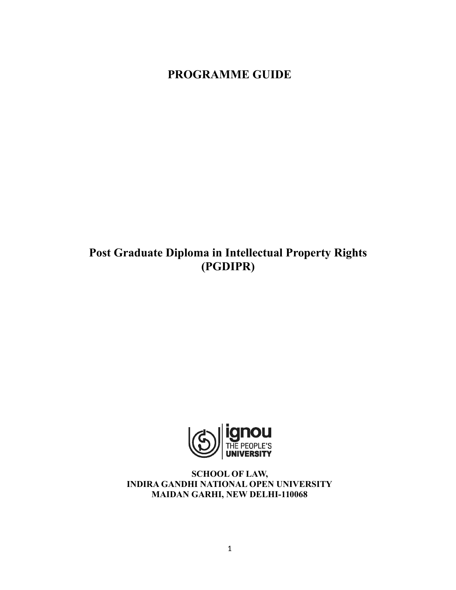# **PROGRAMME GUIDE**

# **Post Graduate Diploma in Intellectual Property Rights (PGDIPR)**



**SCHOOL OF LAW, INDIRA GANDHI NATIONAL OPEN UNIVERSITY MAIDAN GARHI, NEW DELHI-110068**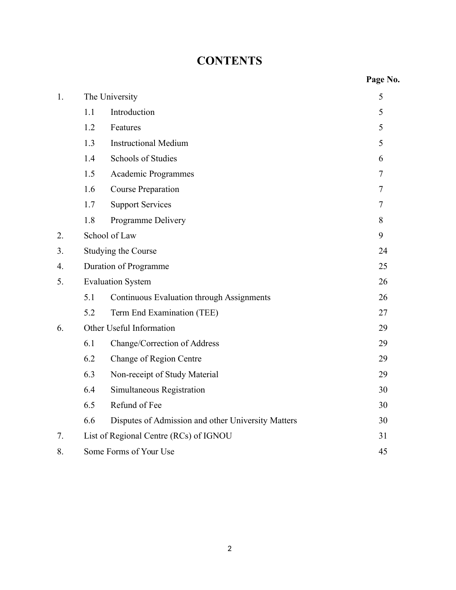# **CONTENTS**

|    |                          |                                                    | Page No. |
|----|--------------------------|----------------------------------------------------|----------|
| 1. |                          | The University                                     | 5        |
|    | 1.1                      | Introduction                                       | 5        |
|    | 1.2                      | Features                                           | 5        |
|    | 1.3                      | <b>Instructional Medium</b>                        | 5        |
|    | 1.4                      | <b>Schools of Studies</b>                          | 6        |
|    | 1.5                      | Academic Programmes                                | $\tau$   |
|    | 1.6                      | <b>Course Preparation</b>                          | $\tau$   |
|    | 1.7                      | <b>Support Services</b>                            | $\tau$   |
|    | 1.8                      | Programme Delivery                                 | 8        |
| 2. |                          | School of Law                                      | 9        |
| 3. |                          | Studying the Course                                | 24       |
| 4. |                          | Duration of Programme                              | 25       |
| 5. |                          | <b>Evaluation System</b>                           | 26       |
|    | 5.1                      | <b>Continuous Evaluation through Assignments</b>   | 26       |
|    | 5.2                      | Term End Examination (TEE)                         | 27       |
| 6. | Other Useful Information | 29                                                 |          |
|    | 6.1                      | Change/Correction of Address                       | 29       |
|    | 6.2                      | Change of Region Centre                            | 29       |
|    | 6.3                      | Non-receipt of Study Material                      | 29       |
|    | 6.4                      | Simultaneous Registration                          | 30       |
|    | 6.5                      | Refund of Fee                                      | 30       |
|    | 6.6                      | Disputes of Admission and other University Matters | 30       |
| 7. |                          | List of Regional Centre (RCs) of IGNOU             | 31       |
| 8. |                          | Some Forms of Your Use                             | 45       |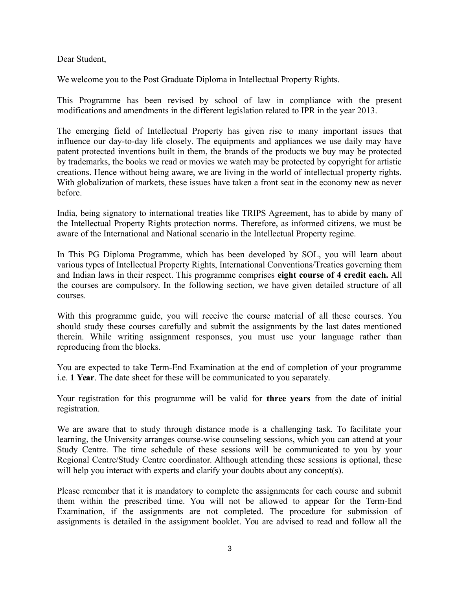Dear Student,

We welcome you to the Post Graduate Diploma in Intellectual Property Rights.

This Programme has been revised by school of law in compliance with the present modifications and amendments in the different legislation related to IPR in the year 2013.

The emerging field of Intellectual Property has given rise to many important issues that influence our day-to-day life closely. The equipments and appliances we use daily may have patent protected inventions built in them, the brands of the products we buy may be protected by trademarks, the books we read or movies we watch may be protected by copyright for artistic creations. Hence without being aware, we are living in the world of intellectual property rights. With globalization of markets, these issues have taken a front seat in the economy new as never before.

India, being signatory to international treaties like TRIPS Agreement, has to abide by many of the Intellectual Property Rights protection norms. Therefore, as informed citizens, we must be aware of the International and National scenario in the Intellectual Property regime.

In This PG Diploma Programme, which has been developed by SOL, you will learn about various types of Intellectual Property Rights, International Conventions/Treaties governing them and Indian laws in their respect. This programme comprises **eight course of 4 credit each.** All the courses are compulsory. In the following section, we have given detailed structure of all courses.

With this programme guide, you will receive the course material of all these courses. You should study these courses carefully and submit the assignments by the last dates mentioned therein. While writing assignment responses, you must use your language rather than reproducing from the blocks.

You are expected to take Term-End Examination at the end of completion of your programme i.e. **1 Year**. The date sheet for these will be communicated to you separately.

Your registration for this programme will be valid for **three years** from the date of initial registration.

We are aware that to study through distance mode is a challenging task. To facilitate your learning, the University arranges course-wise counseling sessions, which you can attend at your Study Centre. The time schedule of these sessions will be communicated to you by your Regional Centre/Study Centre coordinator. Although attending these sessions is optional, these will help you interact with experts and clarify your doubts about any concept(s).

Please remember that it is mandatory to complete the assignments for each course and submit them within the prescribed time. You will not be allowed to appear for the Term-End Examination, if the assignments are not completed. The procedure for submission of assignments is detailed in the assignment booklet. You are advised to read and follow all the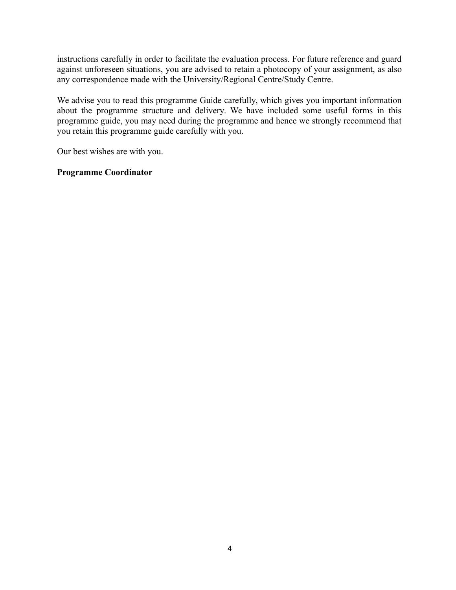instructions carefully in order to facilitate the evaluation process. For future reference and guard against unforeseen situations, you are advised to retain a photocopy of your assignment, as also any correspondence made with the University/Regional Centre/Study Centre.

We advise you to read this programme Guide carefully, which gives you important information about the programme structure and delivery. We have included some useful forms in this programme guide, you may need during the programme and hence we strongly recommend that you retain this programme guide carefully with you.

Our best wishes are with you.

#### **Programme Coordinator**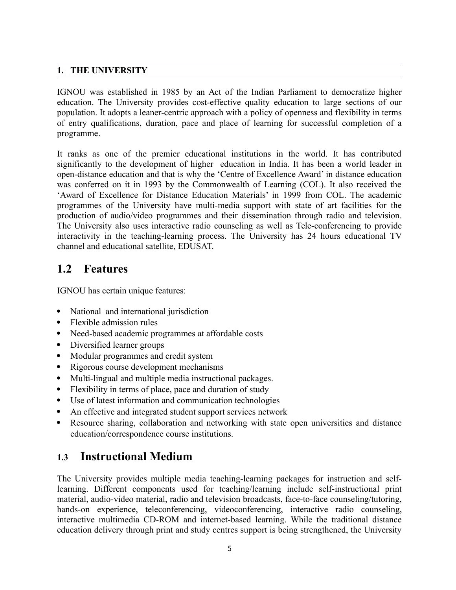#### **1. THE UNIVERSITY**

IGNOU was established in 1985 by an Act of the Indian Parliament to democratize higher education. The University provides cost-effective quality education to large sections of our population. It adopts a leaner-centric approach with a policy of openness and flexibility in terms of entry qualifications, duration, pace and place of learning for successful completion of a programme.

It ranks as one of the premier educational institutions in the world. It has contributed significantly to the development of higher education in India. It has been a world leader in open-distance education and that is why the 'Centre of Excellence Award' in distance education was conferred on it in 1993 by the Commonwealth of Learning (COL). It also received the 'Award of Excellence for Distance Education Materials' in 1999 from COL. The academic programmes of the University have multi-media support with state of art facilities for the production of audio/video programmes and their dissemination through radio and television. The University also uses interactive radio counseling as well as Tele-conferencing to provide interactivity in the teaching-learning process. The University has 24 hours educational TV channel and educational satellite, EDUSAT.

# **1.2 Features**

IGNOU has certain unique features:

- National and international jurisdiction
- Flexible admission rules
- Need-based academic programmes at affordable costs
- Diversified learner groups
- Modular programmes and credit system
- Rigorous course development mechanisms
- Multi-lingual and multiple media instructional packages.
- Flexibility in terms of place, pace and duration of study
- Use of latest information and communication technologies
- An effective and integrated student support services network
- Resource sharing, collaboration and networking with state open universities and distance education/correspondence course institutions.

## **1.3 Instructional Medium**

The University provides multiple media teaching-learning packages for instruction and selflearning. Different components used for teaching/learning include self-instructional print material, audio-video material, radio and television broadcasts, face-to-face counseling/tutoring, hands-on experience, teleconferencing, videoconferencing, interactive radio counseling, interactive multimedia CD-ROM and internet-based learning. While the traditional distance education delivery through print and study centres support is being strengthened, the University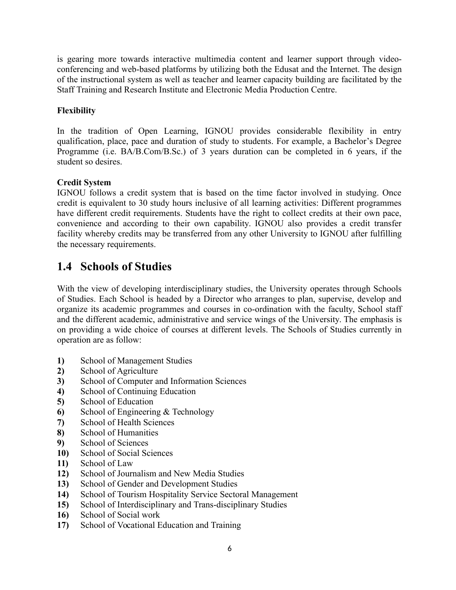is gearing more towards interactive multimedia content and learner support through videoconferencing and web-based platforms by utilizing both the Edusat and the Internet. The design of the instructional system as well as teacher and learner capacity building are facilitated by the Staff Training and Research Institute and Electronic Media Production Centre.

## **Flexibility**

In the tradition of Open Learning, IGNOU provides considerable flexibility in entry qualification, place, pace and duration of study to students. For example, a Bachelor's Degree Programme (i.e. BA/B.Com/B.Sc.) of 3 years duration can be completed in 6 years, if the student so desires.

## **Credit System**

IGNOU follows a credit system that is based on the time factor involved in studying. Once credit is equivalent to 30 study hours inclusive of all learning activities: Different programmes have different credit requirements. Students have the right to collect credits at their own pace, convenience and according to their own capability. IGNOU also provides a credit transfer facility whereby credits may be transferred from any other University to IGNOU after fulfilling the necessary requirements.

## **1.4 Schools of Studies**

With the view of developing interdisciplinary studies, the University operates through Schools of Studies. Each School is headed by a Director who arranges to plan, supervise, develop and organize its academic programmes and courses in co-ordination with the faculty, School staff and the different academic, administrative and service wings of the University. The emphasis is on providing a wide choice of courses at different levels. The Schools of Studies currently in operation are as follow:

- **1)** School of Management Studies
- **2)** School of Agriculture
- **3)** School of Computer and Information Sciences
- **4)** School of Continuing Education
- **5)** School of Education
- **6)** School of Engineering & Technology
- **7)** School of Health Sciences
- **8)** School of Humanities
- **9)** School of Sciences
- **10)** School of Social Sciences
- **11)** School of Law
- **12)** School of Journalism and New Media Studies
- **13)** School of Gender and Development Studies
- **14)** School of Tourism Hospitality Service Sectoral Management
- **15)** School of Interdisciplinary and Trans-disciplinary Studies
- **16)** School of Social work
- **17)** School of Vocational Education and Training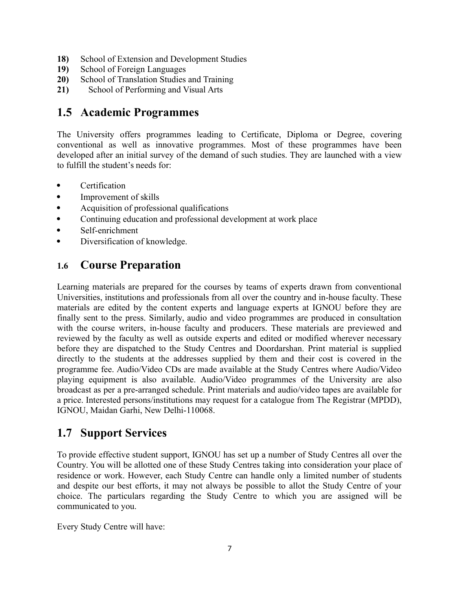- **18)** School of Extension and Development Studies
- **19)** School of Foreign Languages
- **20)** School of Translation Studies and Training
- **21)** School of Performing and Visual Arts

## **1.5 Academic Programmes**

The University offers programmes leading to Certificate, Diploma or Degree, covering conventional as well as innovative programmes. Most of these programmes have been developed after an initial survey of the demand of such studies. They are launched with a view to fulfill the student's needs for:

- Certification
- Improvement of skills
- Acquisition of professional qualifications
- Continuing education and professional development at work place
- Self-enrichment
- Diversification of knowledge.

## **1.6 Course Preparation**

Learning materials are prepared for the courses by teams of experts drawn from conventional Universities, institutions and professionals from all over the country and in-house faculty. These materials are edited by the content experts and language experts at IGNOU before they are finally sent to the press. Similarly, audio and video programmes are produced in consultation with the course writers, in-house faculty and producers. These materials are previewed and reviewed by the faculty as well as outside experts and edited or modified wherever necessary before they are dispatched to the Study Centres and Doordarshan. Print material is supplied directly to the students at the addresses supplied by them and their cost is covered in the programme fee. Audio/Video CDs are made available at the Study Centres where Audio/Video playing equipment is also available. Audio/Video programmes of the University are also broadcast as per a pre-arranged schedule. Print materials and audio/video tapes are available for a price. Interested persons/institutions may request for a catalogue from The Registrar (MPDD), IGNOU, Maidan Garhi, New Delhi-110068.

# **1.7 Support Services**

To provide effective student support, IGNOU has set up a number of Study Centres all over the Country. You will be allotted one of these Study Centres taking into consideration your place of residence or work. However, each Study Centre can handle only a limited number of students and despite our best efforts, it may not always be possible to allot the Study Centre of your choice. The particulars regarding the Study Centre to which you are assigned will be communicated to you.

Every Study Centre will have: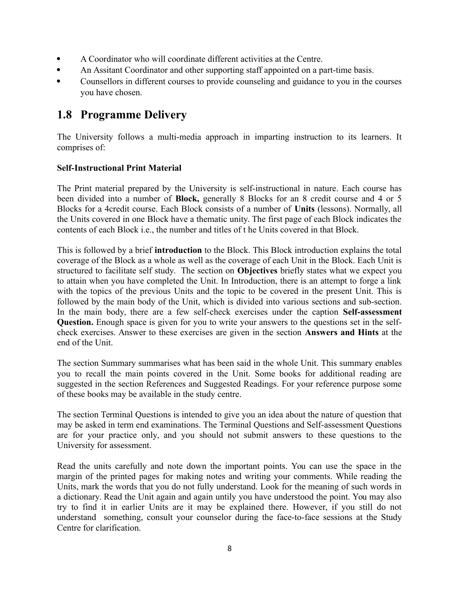- A Coordinator who will coordinate different activities at the Centre.
- An Assitant Coordinator and other supporting staff appointed on a part-time basis.
- Counsellors in different courses to provide counseling and guidance to you in the courses you have chosen.

## **1.8 Programme Delivery**

The University follows a multi-media approach in imparting instruction to its learners. It comprises of:

## **Self-Instructional Print Material**

The Print material prepared by the University is self-instructional in nature. Each course has been divided into a number of **Block,** generally 8 Blocks for an 8 credit course and 4 or 5 Blocks for a 4credit course. Each Block consists of a number of **Units** (lessons). Normally, all the Units covered in one Block have a thematic unity. The first page of each Block indicates the contents of each Block i.e., the number and titles of t he Units covered in that Block.

This is followed by a brief **introduction** to the Block. This Block introduction explains the total coverage of the Block as a whole as well as the coverage of each Unit in the Block. Each Unit is structured to facilitate self study. The section on **Objectives** briefly states what we expect you to attain when you have completed the Unit. In Introduction, there is an attempt to forge a link with the topics of the previous Units and the topic to be covered in the present Unit. This is followed by the main body of the Unit, which is divided into various sections and sub-section. In the main body, there are a few self-check exercises under the caption **Self-assessment Question.** Enough space is given for you to write your answers to the questions set in the selfcheck exercises. Answer to these exercises are given in the section **Answers and Hints** at the end of the Unit.

The section Summary summarises what has been said in the whole Unit. This summary enables you to recall the main points covered in the Unit. Some books for additional reading are suggested in the section References and Suggested Readings. For your reference purpose some of these books may be available in the study centre.

The section Terminal Questions is intended to give you an idea about the nature of question that may be asked in term end examinations. The Terminal Questions and Self-assessment Questions are for your practice only, and you should not submit answers to these questions to the University for assessment.

Read the units carefully and note down the important points. You can use the space in the margin of the printed pages for making notes and writing your comments. While reading the Units, mark the words that you do not fully understand. Look for the meaning of such words in a dictionary. Read the Unit again and again untily you have understood the point. You may also try to find it in earlier Units are it may be explained there. However, if you still do not understand something, consult your counselor during the face-to-face sessions at the Study Centre for clarification.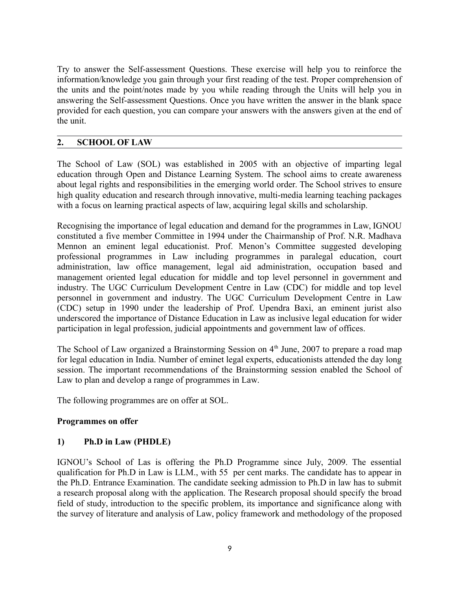Try to answer the Self-assessment Questions. These exercise will help you to reinforce the information/knowledge you gain through your first reading of the test. Proper comprehension of the units and the point/notes made by you while reading through the Units will help you in answering the Self-assessment Questions. Once you have written the answer in the blank space provided for each question, you can compare your answers with the answers given at the end of the unit.

#### **2. SCHOOL OF LAW**

The School of Law (SOL) was established in 2005 with an objective of imparting legal education through Open and Distance Learning System. The school aims to create awareness about legal rights and responsibilities in the emerging world order. The School strives to ensure high quality education and research through innovative, multi-media learning teaching packages with a focus on learning practical aspects of law, acquiring legal skills and scholarship.

Recognising the importance of legal education and demand for the programmes in Law, IGNOU constituted a five member Committee in 1994 under the Chairmanship of Prof. N.R. Madhava Mennon an eminent legal educationist. Prof. Menon's Committee suggested developing professional programmes in Law including programmes in paralegal education, court administration, law office management, legal aid administration, occupation based and management oriented legal education for middle and top level personnel in government and industry. The UGC Curriculum Development Centre in Law (CDC) for middle and top level personnel in government and industry. The UGC Curriculum Development Centre in Law (CDC) setup in 1990 under the leadership of Prof. Upendra Baxi, an eminent jurist also underscored the importance of Distance Education in Law as inclusive legal education for wider participation in legal profession, judicial appointments and government law of offices.

The School of Law organized a Brainstorming Session on  $4<sup>th</sup>$  June, 2007 to prepare a road map for legal education in India. Number of eminet legal experts, educationists attended the day long session. The important recommendations of the Brainstorming session enabled the School of Law to plan and develop a range of programmes in Law.

The following programmes are on offer at SOL.

#### **Programmes on offer**

#### **1) Ph.D in Law (PHDLE)**

IGNOU's School of Las is offering the Ph.D Programme since July, 2009. The essential qualification for Ph.D in Law is LLM., with 55 per cent marks. The candidate has to appear in the Ph.D. Entrance Examination. The candidate seeking admission to Ph.D in law has to submit a research proposal along with the application. The Research proposal should specify the broad field of study, introduction to the specific problem, its importance and significance along with the survey of literature and analysis of Law, policy framework and methodology of the proposed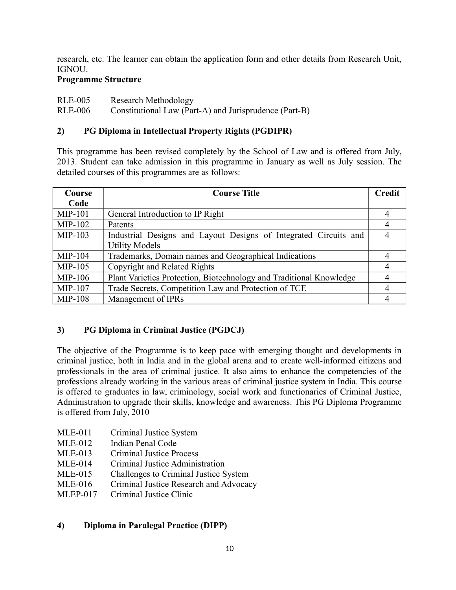research, etc. The learner can obtain the application form and other details from Research Unit, IGNOU.

### **Programme Structure**

RLE-005 Research Methodology

RLE-006 Constitutional Law (Part-A) and Jurisprudence (Part-B)

## **2) PG Diploma in Intellectual Property Rights (PGDIPR)**

This programme has been revised completely by the School of Law and is offered from July, 2013. Student can take admission in this programme in January as well as July session. The detailed courses of this programmes are as follows:

| Course    | <b>Course Title</b>                                                 | <b>Credit</b> |
|-----------|---------------------------------------------------------------------|---------------|
| Code      |                                                                     |               |
| $MIP-101$ | General Introduction to IP Right                                    |               |
| MIP-102   | Patents                                                             |               |
| $MIP-103$ | Industrial Designs and Layout Designs of Integrated Circuits and    |               |
|           | <b>Utility Models</b>                                               |               |
| MIP-104   | Trademarks, Domain names and Geographical Indications               |               |
| $MIP-105$ | <b>Copyright and Related Rights</b>                                 | 4             |
| $MIP-106$ | Plant Varieties Protection, Biotechnology and Traditional Knowledge |               |
| MIP-107   | Trade Secrets, Competition Law and Protection of TCE                |               |
| MIP-108   | Management of IPRs                                                  |               |

## **3) PG Diploma in Criminal Justice (PGDCJ)**

The objective of the Programme is to keep pace with emerging thought and developments in criminal justice, both in India and in the global arena and to create well-informed citizens and professionals in the area of criminal justice. It also aims to enhance the competencies of the professions already working in the various areas of criminal justice system in India. This course is offered to graduates in law, criminology, social work and functionaries of Criminal Justice, Administration to upgrade their skills, knowledge and awareness. This PG Diploma Programme is offered from July, 2010

- MLE-011 Criminal Justice System
- MLE-012 Indian Penal Code
- MLE-013 Criminal Justice Process
- MLE-014 Criminal Justice Administration
- MLE-015 Challenges to Criminal Justice System
- MLE-016 Criminal Justice Research and Advocacy
- MLEP-017 Criminal Justice Clinic

## **4) Diploma in Paralegal Practice (DIPP)**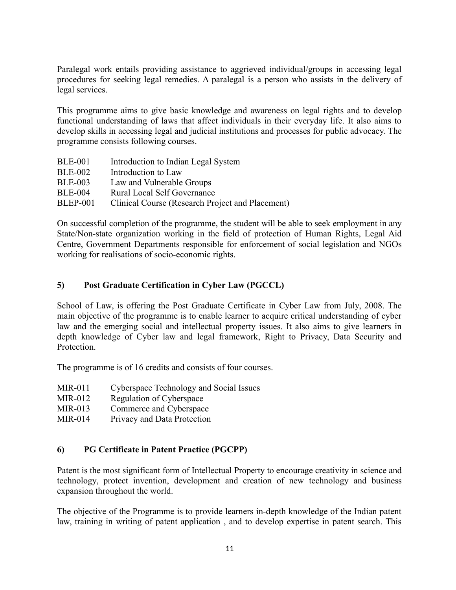Paralegal work entails providing assistance to aggrieved individual/groups in accessing legal procedures for seeking legal remedies. A paralegal is a person who assists in the delivery of legal services.

This programme aims to give basic knowledge and awareness on legal rights and to develop functional understanding of laws that affect individuals in their everyday life. It also aims to develop skills in accessing legal and judicial institutions and processes for public advocacy. The programme consists following courses.

| <b>BLE-001</b>  | Introduction to Indian Legal System              |
|-----------------|--------------------------------------------------|
| <b>BLE-002</b>  | Introduction to Law                              |
| <b>BLE-003</b>  | Law and Vulnerable Groups                        |
| <b>BLE-004</b>  | <b>Rural Local Self Governance</b>               |
| <b>BLEP-001</b> | Clinical Course (Research Project and Placement) |

On successful completion of the programme, the student will be able to seek employment in any State/Non-state organization working in the field of protection of Human Rights, Legal Aid Centre, Government Departments responsible for enforcement of social legislation and NGOs working for realisations of socio-economic rights.

## **5) Post Graduate Certification in Cyber Law (PGCCL)**

School of Law, is offering the Post Graduate Certificate in Cyber Law from July, 2008. The main objective of the programme is to enable learner to acquire critical understanding of cyber law and the emerging social and intellectual property issues. It also aims to give learners in depth knowledge of Cyber law and legal framework, Right to Privacy, Data Security and **Protection** 

The programme is of 16 credits and consists of four courses.

- MIR-011 Cyberspace Technology and Social Issues
- MIR-012 Regulation of Cyberspace
- MIR-013 Commerce and Cyberspace
- MIR-014 Privacy and Data Protection

### **6) PG Certificate in Patent Practice (PGCPP)**

Patent is the most significant form of Intellectual Property to encourage creativity in science and technology, protect invention, development and creation of new technology and business expansion throughout the world.

The objective of the Programme is to provide learners in-depth knowledge of the Indian patent law, training in writing of patent application , and to develop expertise in patent search. This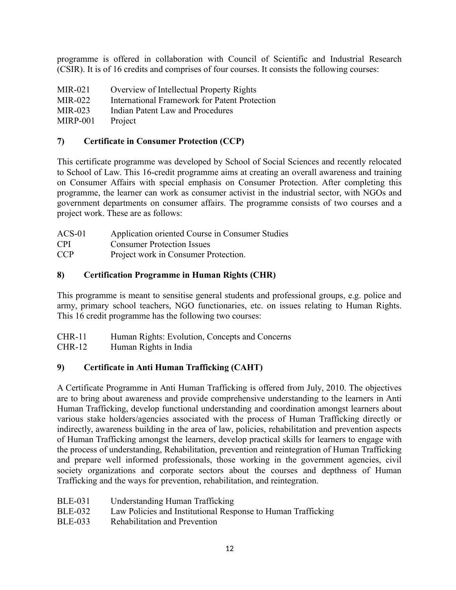programme is offered in collaboration with Council of Scientific and Industrial Research (CSIR). It is of 16 credits and comprises of four courses. It consists the following courses:

| MIR-021  | Overview of Intellectual Property Rights      |
|----------|-----------------------------------------------|
| MIR-022  | International Framework for Patent Protection |
| MIR-023  | Indian Patent Law and Procedures              |
| MIRP-001 | Project                                       |

### **7) Certificate in Consumer Protection (CCP)**

This certificate programme was developed by School of Social Sciences and recently relocated to School of Law. This 16-credit programme aims at creating an overall awareness and training on Consumer Affairs with special emphasis on Consumer Protection. After completing this programme, the learner can work as consumer activist in the industrial sector, with NGOs and government departments on consumer affairs. The programme consists of two courses and a project work. These are as follows:

| $ACS-01$   | Application oriented Course in Consumer Studies |
|------------|-------------------------------------------------|
| <b>CPI</b> | <b>Consumer Protection Issues</b>               |
| <b>CCP</b> | Project work in Consumer Protection.            |

## **8) Certification Programme in Human Rights (CHR)**

This programme is meant to sensitise general students and professional groups, e.g. police and army, primary school teachers, NGO functionaries, etc. on issues relating to Human Rights. This 16 credit programme has the following two courses:

CHR-11 Human Rights: Evolution, Concepts and Concerns

CHR-12 Human Rights in India

## **9) Certificate in Anti Human Trafficking (CAHT)**

A Certificate Programme in Anti Human Trafficking is offered from July, 2010. The objectives are to bring about awareness and provide comprehensive understanding to the learners in Anti Human Trafficking, develop functional understanding and coordination amongst learners about various stake holders/agencies associated with the process of Human Trafficking directly or indirectly, awareness building in the area of law, policies, rehabilitation and prevention aspects of Human Trafficking amongst the learners, develop practical skills for learners to engage with the process of understanding, Rehabilitation, prevention and reintegration of Human Trafficking and prepare well informed professionals, those working in the government agencies, civil society organizations and corporate sectors about the courses and depthness of Human Trafficking and the ways for prevention, rehabilitation, and reintegration.

- BLE-031 Understanding Human Trafficking
- BLE-032 Law Policies and Institutional Response to Human Trafficking
- BLE-033 Rehabilitation and Prevention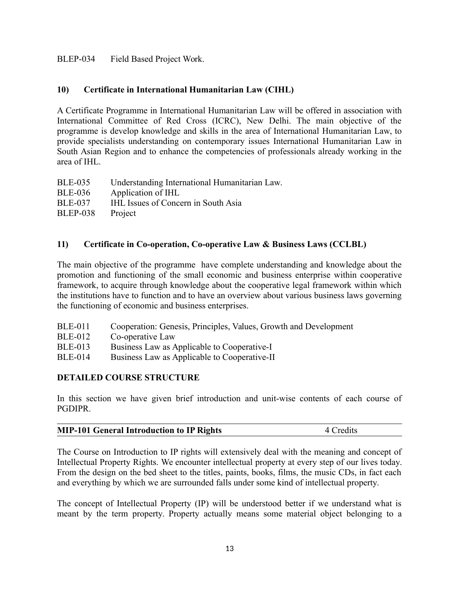#### BLEP-034 Field Based Project Work.

#### **10) Certificate in International Humanitarian Law (CIHL)**

A Certificate Programme in International Humanitarian Law will be offered in association with International Committee of Red Cross (ICRC), New Delhi. The main objective of the programme is develop knowledge and skills in the area of International Humanitarian Law, to provide specialists understanding on contemporary issues International Humanitarian Law in South Asian Region and to enhance the competencies of professionals already working in the area of IHL.

| Understanding International Humanitarian Law. |
|-----------------------------------------------|
| Application of IHL                            |
| <b>IHL Issues of Concern in South Asia</b>    |
| Project                                       |
|                                               |

#### **11) Certificate in Co-operation, Co-operative Law & Business Laws (CCLBL)**

The main objective of the programme have complete understanding and knowledge about the promotion and functioning of the small economic and business enterprise within cooperative framework, to acquire through knowledge about the cooperative legal framework within which the institutions have to function and to have an overview about various business laws governing the functioning of economic and business enterprises.

| <b>BLE-011</b> | Cooperation: Genesis, Principles, Values, Growth and Development |  |  |  |
|----------------|------------------------------------------------------------------|--|--|--|
|                |                                                                  |  |  |  |

- BLE-012 Co-operative Law
- BLE-013 Business Law as Applicable to Cooperative-I
- BLE-014 Business Law as Applicable to Cooperative-II

#### **DETAILED COURSE STRUCTURE**

In this section we have given brief introduction and unit-wise contents of each course of PGDIPR.

| <b>MIP-101 General Introduction to IP Rights</b> | 4 Credits |
|--------------------------------------------------|-----------|
|                                                  |           |

The Course on Introduction to IP rights will extensively deal with the meaning and concept of Intellectual Property Rights. We encounter intellectual property at every step of our lives today. From the design on the bed sheet to the titles, paints, books, films, the music CDs, in fact each and everything by which we are surrounded falls under some kind of intellectual property.

The concept of Intellectual Property (IP) will be understood better if we understand what is meant by the term property. Property actually means some material object belonging to a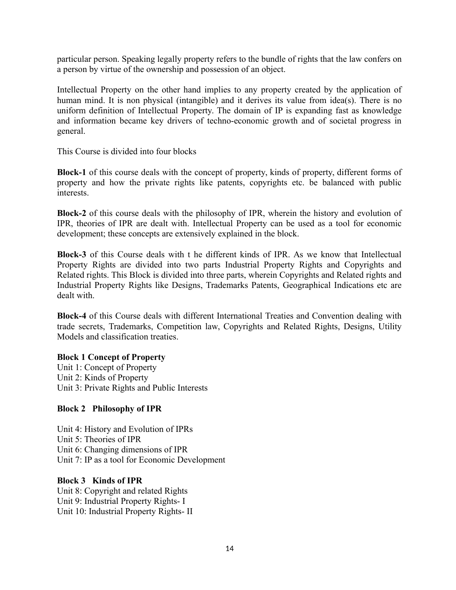particular person. Speaking legally property refers to the bundle of rights that the law confers on a person by virtue of the ownership and possession of an object.

Intellectual Property on the other hand implies to any property created by the application of human mind. It is non physical (intangible) and it derives its value from idea(s). There is no uniform definition of Intellectual Property. The domain of IP is expanding fast as knowledge and information became key drivers of techno-economic growth and of societal progress in general.

This Course is divided into four blocks

**Block-1** of this course deals with the concept of property, kinds of property, different forms of property and how the private rights like patents, copyrights etc. be balanced with public interests.

**Block-2** of this course deals with the philosophy of IPR, wherein the history and evolution of IPR, theories of IPR are dealt with. Intellectual Property can be used as a tool for economic development; these concepts are extensively explained in the block.

**Block-3** of this Course deals with t he different kinds of IPR. As we know that Intellectual Property Rights are divided into two parts Industrial Property Rights and Copyrights and Related rights. This Block is divided into three parts, wherein Copyrights and Related rights and Industrial Property Rights like Designs, Trademarks Patents, Geographical Indications etc are dealt with.

**Block-4** of this Course deals with different International Treaties and Convention dealing with trade secrets, Trademarks, Competition law, Copyrights and Related Rights, Designs, Utility Models and classification treaties.

#### **Block 1 Concept of Property**

Unit 1: Concept of Property Unit 2: Kinds of Property Unit 3: Private Rights and Public Interests

### **Block 2 Philosophy of IPR**

Unit 4: History and Evolution of IPRs Unit 5: Theories of IPR Unit 6: Changing dimensions of IPR Unit 7: IP as a tool for Economic Development

#### **Block 3 Kinds of IPR**

Unit 8: Copyright and related Rights Unit 9: Industrial Property Rights- I Unit 10: Industrial Property Rights- II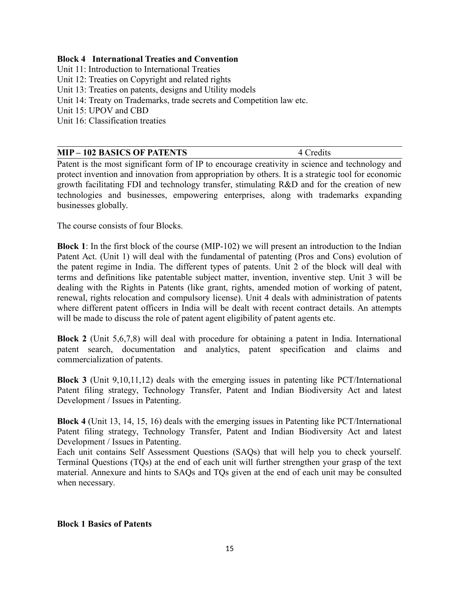#### **Block 4 International Treaties and Convention**

Unit 11: Introduction to International Treaties

- Unit 12: Treaties on Copyright and related rights
- Unit 13: Treaties on patents, designs and Utility models
- Unit 14: Treaty on Trademarks, trade secrets and Competition law etc.
- Unit 15: UPOV and CBD

Unit 16: Classification treaties

| <b>MIP – 102 BASICS OF PATENTS</b><br>4 Credits |
|-------------------------------------------------|
|-------------------------------------------------|

Patent is the most significant form of IP to encourage creativity in science and technology and protect invention and innovation from appropriation by others. It is a strategic tool for economic growth facilitating FDI and technology transfer, stimulating R&D and for the creation of new technologies and businesses, empowering enterprises, along with trademarks expanding businesses globally.

The course consists of four Blocks.

**Block 1**: In the first block of the course (MIP-102) we will present an introduction to the Indian Patent Act. (Unit 1) will deal with the fundamental of patenting (Pros and Cons) evolution of the patent regime in India. The different types of patents. Unit 2 of the block will deal with terms and definitions like patentable subject matter, invention, inventive step. Unit 3 will be dealing with the Rights in Patents (like grant, rights, amended motion of working of patent, renewal, rights relocation and compulsory license). Unit 4 deals with administration of patents where different patent officers in India will be dealt with recent contract details. An attempts will be made to discuss the role of patent agent eligibility of patent agents etc.

**Block 2** (Unit 5,6,7,8) will deal with procedure for obtaining a patent in India. International patent search, documentation and analytics, patent specification and claims and commercialization of patents.

**Block 3** (Unit 9,10,11,12) deals with the emerging issues in patenting like PCT/International Patent filing strategy, Technology Transfer, Patent and Indian Biodiversity Act and latest Development / Issues in Patenting.

**Block 4** (Unit 13, 14, 15, 16) deals with the emerging issues in Patenting like PCT/International Patent filing strategy, Technology Transfer, Patent and Indian Biodiversity Act and latest Development / Issues in Patenting.

Each unit contains Self Assessment Questions (SAQs) that will help you to check yourself. Terminal Questions (TQs) at the end of each unit will further strengthen your grasp of the text material. Annexure and hints to SAQs and TQs given at the end of each unit may be consulted when necessary.

#### **Block 1 Basics of Patents**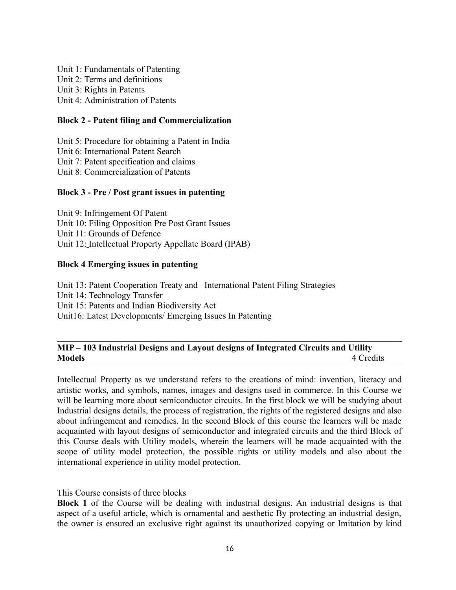Unit 1: Fundamentals of Patenting Unit 2: Terms and definitions Unit 3: Rights in Patents Unit 4: Administration of Patents

#### **Block 2 - Patent filing and Commercialization**

Unit 5: Procedure for obtaining a Patent in India Unit 6: International Patent Search Unit 7: Patent specification and claims Unit 8: Commercialization of Patents

#### **Block 3 - Pre / Post grant issues in patenting**

Unit 9: Infringement Of Patent Unit 10: Filing Opposition Pre Post Grant Issues Unit 11: Grounds of Defence Unit 12: Intellectual Property Appellate Board (IPAB)

#### **Block 4 Emerging issues in patenting**

Unit 13: Patent Cooperation Treaty and International Patent Filing Strategies Unit 14: Technology Transfer Unit 15: Patents and Indian Biodiversity Act Unit16: Latest Developments/ Emerging Issues In Patenting

#### **MIP – 103 Industrial Designs and Layout designs of Integrated Circuits and Utility Models** 4 Credits

Intellectual Property as we understand refers to the creations of mind: invention, literacy and artistic works, and symbols, names, images and designs used in commerce. In this Course we will be learning more about semiconductor circuits. In the first block we will be studying about Industrial designs details, the process of registration, the rights of the registered designs and also about infringement and remedies. In the second Block of this course the learners will be made acquainted with layout designs of semiconductor and integrated circuits and the third Block of this Course deals with Utility models, wherein the learners will be made acquainted with the scope of utility model protection, the possible rights or utility models and also about the international experience in utility model protection.

This Course consists of three blocks

**Block 1** of the Course will be dealing with industrial designs. An industrial designs is that aspect of a useful article, which is ornamental and aesthetic By protecting an industrial design, the owner is ensured an exclusive right against its unauthorized copying or Imitation by kind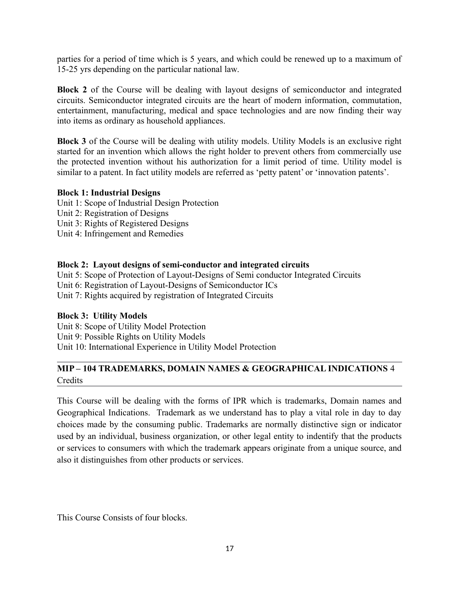parties for a period of time which is 5 years, and which could be renewed up to a maximum of 15-25 yrs depending on the particular national law.

**Block 2** of the Course will be dealing with layout designs of semiconductor and integrated circuits. Semiconductor integrated circuits are the heart of modern information, commutation, entertainment, manufacturing, medical and space technologies and are now finding their way into items as ordinary as household appliances.

**Block 3** of the Course will be dealing with utility models. Utility Models is an exclusive right started for an invention which allows the right holder to prevent others from commercially use the protected invention without his authorization for a limit period of time. Utility model is similar to a patent. In fact utility models are referred as 'petty patent' or 'innovation patents'.

#### **Block 1: Industrial Designs**

- Unit 1: Scope of Industrial Design Protection Unit 2: Registration of Designs
- 
- Unit 3: Rights of Registered Designs
- Unit 4: Infringement and Remedies

#### **Block 2: Layout designs of semi-conductor and integrated circuits**

Unit 5: Scope of Protection of Layout-Designs of Semi conductor Integrated Circuits Unit 6: Registration of Layout-Designs of Semiconductor ICs Unit 7: Rights acquired by registration of Integrated Circuits

#### **Block 3: Utility Models**

Unit 8: Scope of Utility Model Protection Unit 9: Possible Rights on Utility Models Unit 10: International Experience in Utility Model Protection

## **MIP – 104 TRADEMARKS, DOMAIN NAMES & GEOGRAPHICAL INDICATIONS** 4 **Credits**

This Course will be dealing with the forms of IPR which is trademarks, Domain names and Geographical Indications. Trademark as we understand has to play a vital role in day to day choices made by the consuming public. Trademarks are normally distinctive sign or indicator used by an individual, business organization, or other legal entity to indentify that the products or services to consumers with which the trademark appears originate from a unique source, and also it distinguishes from other products or services.

This Course Consists of four blocks.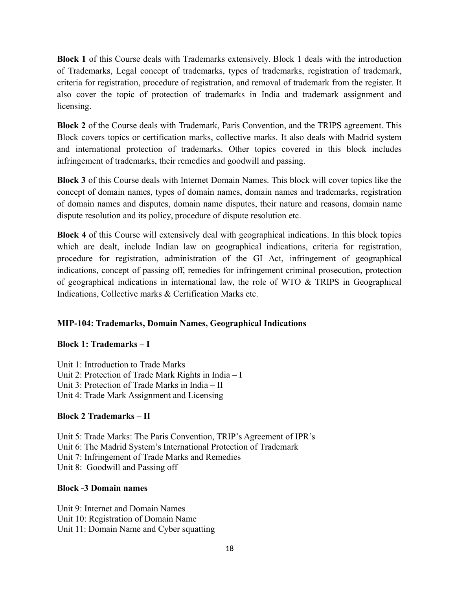**Block 1** of this Course deals with Trademarks extensively. Block 1 deals with the introduction of Trademarks, Legal concept of trademarks, types of trademarks, registration of trademark, criteria for registration, procedure of registration, and removal of trademark from the register. It also cover the topic of protection of trademarks in India and trademark assignment and licensing.

**Block 2** of the Course deals with Trademark, Paris Convention, and the TRIPS agreement. This Block covers topics or certification marks, collective marks. It also deals with Madrid system and international protection of trademarks. Other topics covered in this block includes infringement of trademarks, their remedies and goodwill and passing.

**Block 3** of this Course deals with Internet Domain Names. This block will cover topics like the concept of domain names, types of domain names, domain names and trademarks, registration of domain names and disputes, domain name disputes, their nature and reasons, domain name dispute resolution and its policy, procedure of dispute resolution etc.

**Block 4** of this Course will extensively deal with geographical indications. In this block topics which are dealt, include Indian law on geographical indications, criteria for registration, procedure for registration, administration of the GI Act, infringement of geographical indications, concept of passing off, remedies for infringement criminal prosecution, protection of geographical indications in international law, the role of WTO & TRIPS in Geographical Indications, Collective marks & Certification Marks etc.

### **MIP-104: Trademarks, Domain Names, Geographical Indications**

#### **Block 1: Trademarks – I**

Unit 1: Introduction to Trade Marks Unit 2: Protection of Trade Mark Rights in India – I Unit 3: Protection of Trade Marks in India – II Unit 4: Trade Mark Assignment and Licensing

#### **Block 2 Trademarks – II**

Unit 5: Trade Marks: The Paris Convention, TRIP's Agreement of IPR's Unit 6: The Madrid System's International Protection of Trademark Unit 7: Infringement of Trade Marks and Remedies Unit 8: Goodwill and Passing off

#### **Block -3 Domain names**

Unit 9: Internet and Domain Names Unit 10: Registration of Domain Name Unit 11: Domain Name and Cyber squatting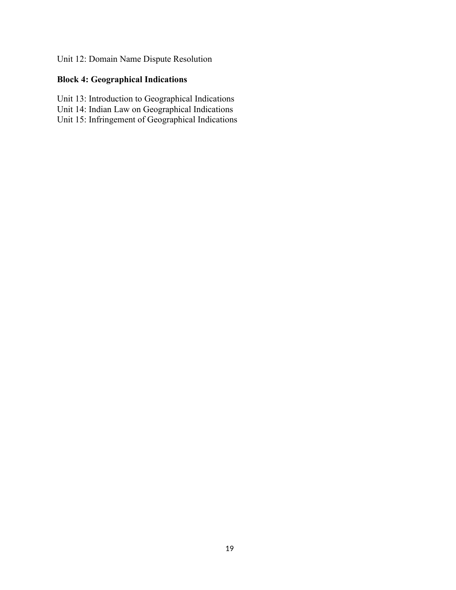## Unit 12: Domain Name Dispute Resolution

## **Block 4: Geographical Indications**

- Unit 13: Introduction to Geographical Indications
- Unit 14: Indian Law on Geographical Indications
- Unit 15: Infringement of Geographical Indications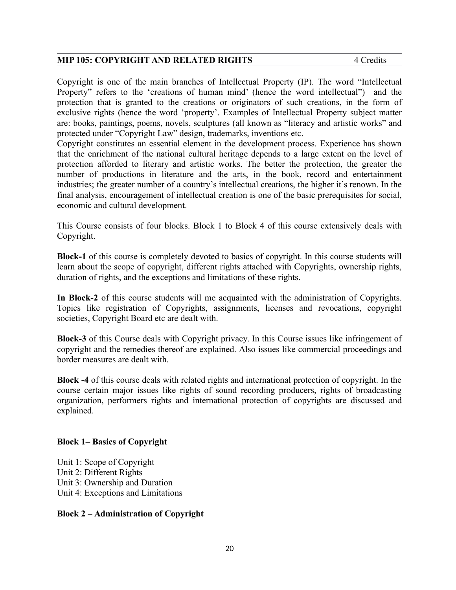#### **MIP 105: COPYRIGHT AND RELATED RIGHTS** 4 Credits

Copyright is one of the main branches of Intellectual Property (IP). The word "Intellectual Property" refers to the 'creations of human mind' (hence the word intellectual") and the protection that is granted to the creations or originators of such creations, in the form of exclusive rights (hence the word 'property'. Examples of Intellectual Property subject matter are: books, paintings, poems, novels, sculptures (all known as "literacy and artistic works" and protected under "Copyright Law" design, trademarks, inventions etc.

Copyright constitutes an essential element in the development process. Experience has shown that the enrichment of the national cultural heritage depends to a large extent on the level of protection afforded to literary and artistic works. The better the protection, the greater the number of productions in literature and the arts, in the book, record and entertainment industries; the greater number of a country's intellectual creations, the higher it's renown. In the final analysis, encouragement of intellectual creation is one of the basic prerequisites for social, economic and cultural development.

This Course consists of four blocks. Block 1 to Block 4 of this course extensively deals with Copyright.

**Block-1** of this course is completely devoted to basics of copyright. In this course students will learn about the scope of copyright, different rights attached with Copyrights, ownership rights, duration of rights, and the exceptions and limitations of these rights.

**In Block-2** of this course students will me acquainted with the administration of Copyrights. Topics like registration of Copyrights, assignments, licenses and revocations, copyright societies, Copyright Board etc are dealt with.

**Block-3** of this Course deals with Copyright privacy. In this Course issues like infringement of copyright and the remedies thereof are explained. Also issues like commercial proceedings and border measures are dealt with.

**Block -4** of this course deals with related rights and international protection of copyright. In the course certain major issues like rights of sound recording producers, rights of broadcasting organization, performers rights and international protection of copyrights are discussed and explained.

#### **Block 1– Basics of Copyright**

Unit 1: Scope of Copyright Unit 2: Different Rights Unit 3: Ownership and Duration Unit 4: Exceptions and Limitations

#### **Block 2 – Administration of Copyright**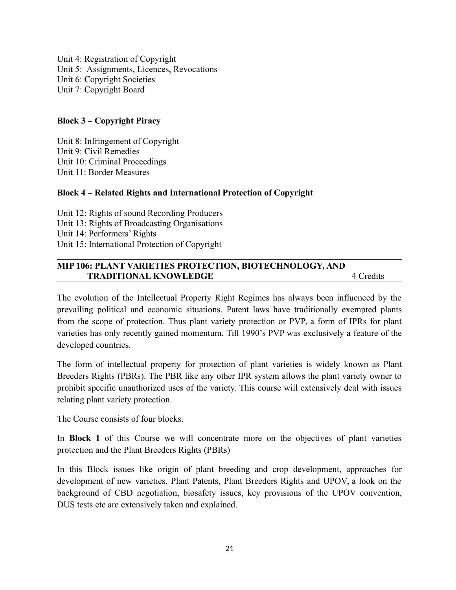Unit 4: Registration of Copyright Unit 5: Assignments, Licences, Revocations Unit 6: Copyright Societies Unit 7: Copyright Board

#### **Block 3 – Copyright Piracy**

Unit 8: Infringement of Copyright Unit 9: Civil Remedies Unit 10: Criminal Proceedings Unit 11: Border Measures

#### **Block 4 – Related Rights and International Protection of Copyright**

Unit 12: Rights of sound Recording Producers Unit 13: Rights of Broadcasting Organisations Unit 14: Performers' Rights Unit 15: International Protection of Copyright

#### **MIP 106: PLANT VARIETIES PROTECTION, BIOTECHNOLOGY, AND TRADITIONAL KNOWLEDGE** 4 Credits

The evolution of the Intellectual Property Right Regimes has always been influenced by the prevailing political and economic situations. Patent laws have traditionally exempted plants from the scope of protection. Thus plant variety protection or PVP, a form of IPRs for plant varieties has only recently gained momentum. Till 1990's PVP was exclusively a feature of the developed countries.

The form of intellectual property for protection of plant varieties is widely known as Plant Breeders Rights (PBRs). The PBR like any other IPR system allows the plant variety owner to prohibit specific unauthorized uses of the variety. This course will extensively deal with issues relating plant variety protection.

The Course consists of four blocks.

In **Block 1** of this Course we will concentrate more on the objectives of plant varieties protection and the Plant Breeders Rights (PBRs)

In this Block issues like origin of plant breeding and crop development, approaches for development of new varieties, Plant Patents, Plant Breeders Rights and UPOV, a look on the background of CBD negotiation, biosafety issues, key provisions of the UPOV convention, DUS tests etc are extensively taken and explained.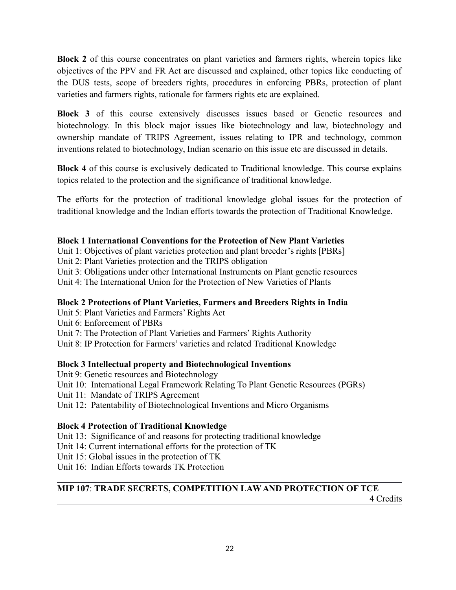**Block 2** of this course concentrates on plant varieties and farmers rights, wherein topics like objectives of the PPV and FR Act are discussed and explained, other topics like conducting of the DUS tests, scope of breeders rights, procedures in enforcing PBRs, protection of plant varieties and farmers rights, rationale for farmers rights etc are explained.

**Block 3** of this course extensively discusses issues based or Genetic resources and biotechnology. In this block major issues like biotechnology and law, biotechnology and ownership mandate of TRIPS Agreement, issues relating to IPR and technology, common inventions related to biotechnology, Indian scenario on this issue etc are discussed in details.

**Block 4** of this course is exclusively dedicated to Traditional knowledge. This course explains topics related to the protection and the significance of traditional knowledge.

The efforts for the protection of traditional knowledge global issues for the protection of traditional knowledge and the Indian efforts towards the protection of Traditional Knowledge.

### **Block 1 International Conventions for the Protection of New Plant Varieties**

Unit 1: Objectives of plant varieties protection and plant breeder's rights [PBRs]

Unit 2: Plant Varieties protection and the TRIPS obligation

Unit 3: Obligations under other International Instruments on Plant genetic resources

Unit 4: The International Union for the Protection of New Varieties of Plants

## **Block 2 Protections of Plant Varieties, Farmers and Breeders Rights in India**

Unit 5: Plant Varieties and Farmers' Rights Act

Unit 6: Enforcement of PBRs

Unit 7: The Protection of Plant Varieties and Farmers' Rights Authority

Unit 8: IP Protection for Farmers' varieties and related Traditional Knowledge

## **Block 3 Intellectual property and Biotechnological Inventions**

Unit 9: Genetic resources and Biotechnology Unit 10: International Legal Framework Relating To Plant Genetic Resources (PGRs) Unit 11: Mandate of TRIPS Agreement Unit 12: Patentability of Biotechnological Inventions and Micro Organisms

## **Block 4 Protection of Traditional Knowledge**

Unit 13: Significance of and reasons for protecting traditional knowledge

Unit 14: Current international efforts for the protection of TK

Unit 15: Global issues in the protection of TK

Unit 16: Indian Efforts towards TK Protection

## **MIP 107**: **TRADE SECRETS, COMPETITION LAW AND PROTECTION OF TCE**

4 Credits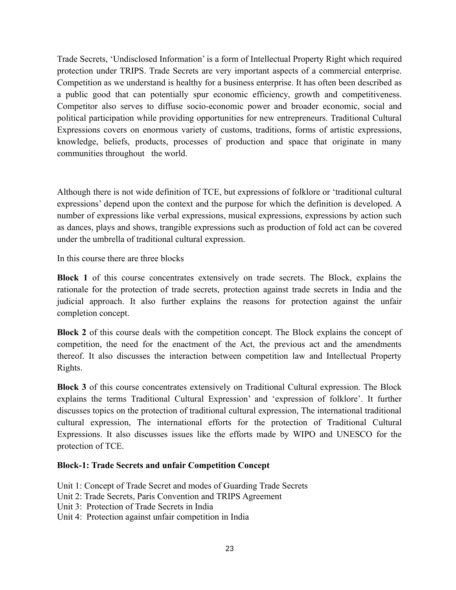Trade Secrets, 'Undisclosed Information' is a form of Intellectual Property Right which required protection under TRIPS. Trade Secrets are very important aspects of a commercial enterprise. Competition as we understand is healthy for a business enterprise. It has often been described as a public good that can potentially spur economic efficiency, growth and competitiveness. Competitor also serves to diffuse socio-economic power and broader economic, social and political participation while providing opportunities for new entrepreneurs. Traditional Cultural Expressions covers on enormous variety of customs, traditions, forms of artistic expressions, knowledge, beliefs, products, processes of production and space that originate in many communities throughout the world.

Although there is not wide definition of TCE, but expressions of folklore or 'traditional cultural expressions' depend upon the context and the purpose for which the definition is developed. A number of expressions like verbal expressions, musical expressions, expressions by action such as dances, plays and shows, trangible expressions such as production of fold act can be covered under the umbrella of traditional cultural expression.

In this course there are three blocks

**Block 1** of this course concentrates extensively on trade secrets. The Block, explains the rationale for the protection of trade secrets, protection against trade secrets in India and the judicial approach. It also further explains the reasons for protection against the unfair completion concept.

**Block 2** of this course deals with the competition concept. The Block explains the concept of competition, the need for the enactment of the Act, the previous act and the amendments thereof. It also discusses the interaction between competition law and Intellectual Property Rights.

**Block 3** of this course concentrates extensively on Traditional Cultural expression. The Block explains the terms Traditional Cultural Expression' and 'expression of folklore'. It further discusses topics on the protection of traditional cultural expression, The international traditional cultural expression, The international efforts for the protection of Traditional Cultural Expressions. It also discusses issues like the efforts made by WIPO and UNESCO for the protection of TCE.

#### **Block-1: Trade Secrets and unfair Competition Concept**

Unit 1: Concept of Trade Secret and modes of Guarding Trade Secrets

- Unit 2: Trade Secrets, Paris Convention and TRIPS Agreement
- Unit 3: Protection of Trade Secrets in India
- Unit 4: Protection against unfair competition in India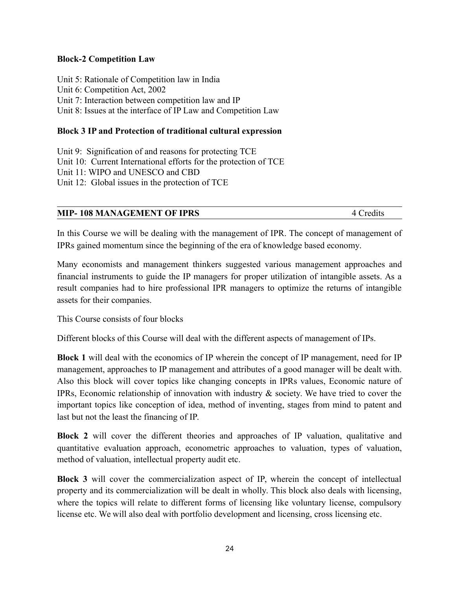#### **Block-2 Competition Law**

Unit 5: Rationale of Competition law in India Unit 6: Competition Act, 2002 Unit 7: Interaction between competition law and IP Unit 8: Issues at the interface of IP Law and Competition Law

#### **Block 3 IP and Protection of traditional cultural expression**

Unit 9: Signification of and reasons for protecting TCE Unit 10: Current International efforts for the protection of TCE Unit 11: WIPO and UNESCO and CBD Unit 12: Global issues in the protection of TCE

#### **MIP-108 MANAGEMENT OF IPRS** 4 Credits

In this Course we will be dealing with the management of IPR. The concept of management of IPRs gained momentum since the beginning of the era of knowledge based economy.

Many economists and management thinkers suggested various management approaches and financial instruments to guide the IP managers for proper utilization of intangible assets. As a result companies had to hire professional IPR managers to optimize the returns of intangible assets for their companies.

This Course consists of four blocks

Different blocks of this Course will deal with the different aspects of management of IPs.

**Block 1** will deal with the economics of IP wherein the concept of IP management, need for IP management, approaches to IP management and attributes of a good manager will be dealt with. Also this block will cover topics like changing concepts in IPRs values, Economic nature of IPRs, Economic relationship of innovation with industry & society. We have tried to cover the important topics like conception of idea, method of inventing, stages from mind to patent and last but not the least the financing of IP.

**Block 2** will cover the different theories and approaches of IP valuation, qualitative and quantitative evaluation approach, econometric approaches to valuation, types of valuation, method of valuation, intellectual property audit etc.

**Block 3** will cover the commercialization aspect of IP, wherein the concept of intellectual property and its commercialization will be dealt in wholly. This block also deals with licensing, where the topics will relate to different forms of licensing like voluntary license, compulsory license etc. We will also deal with portfolio development and licensing, cross licensing etc.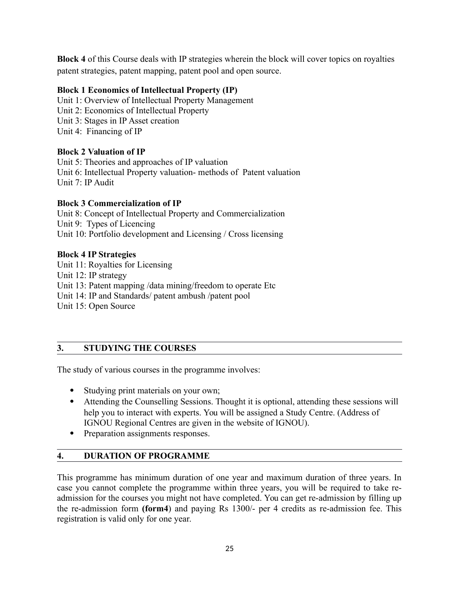**Block 4** of this Course deals with IP strategies wherein the block will cover topics on royalties patent strategies, patent mapping, patent pool and open source.

### **Block 1 Economics of Intellectual Property (IP)**

Unit 1: Overview of Intellectual Property Management Unit 2: Economics of Intellectual Property Unit 3: Stages in IP Asset creation Unit 4: Financing of IP

### **Block 2 Valuation of IP**

Unit 5: Theories and approaches of IP valuation Unit 6: Intellectual Property valuation- methods of Patent valuation Unit 7: IP Audit

#### **Block 3 Commercialization of IP**

Unit 8: Concept of Intellectual Property and Commercialization Unit 9: Types of Licencing Unit 10: Portfolio development and Licensing / Cross licensing

#### **Block 4 IP Strategies**

Unit 11: Royalties for Licensing Unit 12: IP strategy Unit 13: Patent mapping /data mining/freedom to operate Etc Unit 14: IP and Standards/ patent ambush /patent pool Unit 15: Open Source

### **3. STUDYING THE COURSES**

The study of various courses in the programme involves:

- Studying print materials on your own;
- Attending the Counselling Sessions. Thought it is optional, attending these sessions will help you to interact with experts. You will be assigned a Study Centre. (Address of IGNOU Regional Centres are given in the website of IGNOU).
- Preparation assignments responses.

### **4. DURATION OF PROGRAMME**

This programme has minimum duration of one year and maximum duration of three years. In case you cannot complete the programme within three years, you will be required to take readmission for the courses you might not have completed. You can get re-admission by filling up the re-admission form **(form4**) and paying Rs 1300/- per 4 credits as re-admission fee. This registration is valid only for one year.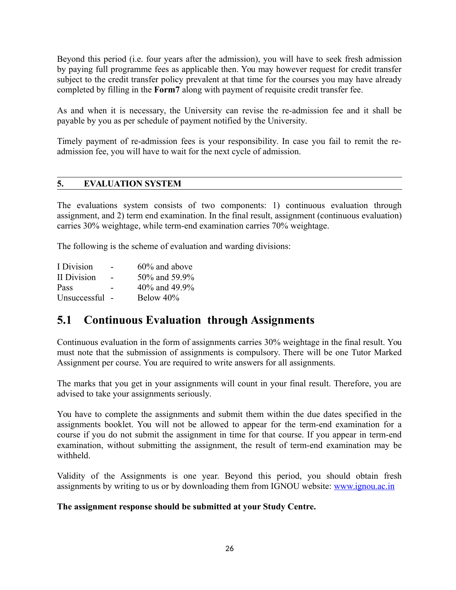Beyond this period (i.e. four years after the admission), you will have to seek fresh admission by paying full programme fees as applicable then. You may however request for credit transfer subject to the credit transfer policy prevalent at that time for the courses you may have already completed by filling in the **Form7** along with payment of requisite credit transfer fee.

As and when it is necessary, the University can revise the re-admission fee and it shall be payable by you as per schedule of payment notified by the University.

Timely payment of re-admission fees is your responsibility. In case you fail to remit the readmission fee, you will have to wait for the next cycle of admission.

#### **5. EVALUATION SYSTEM**

The evaluations system consists of two components: 1) continuous evaluation through assignment, and 2) term end examination. In the final result, assignment (continuous evaluation) carries 30% weightage, while term-end examination carries 70% weightage.

The following is the scheme of evaluation and warding divisions:

| I Division   | - | 60% and above |
|--------------|---|---------------|
| II Division  |   | 50% and 59.9% |
| Pass         |   | 40% and 49.9% |
| Unsuccessful |   | Below 40%     |

## **5.1 Continuous Evaluation through Assignments**

Continuous evaluation in the form of assignments carries 30% weightage in the final result. You must note that the submission of assignments is compulsory. There will be one Tutor Marked Assignment per course. You are required to write answers for all assignments.

The marks that you get in your assignments will count in your final result. Therefore, you are advised to take your assignments seriously.

You have to complete the assignments and submit them within the due dates specified in the assignments booklet. You will not be allowed to appear for the term-end examination for a course if you do not submit the assignment in time for that course. If you appear in term-end examination, without submitting the assignment, the result of term-end examination may be withheld.

Validity of the Assignments is one year. Beyond this period, you should obtain fresh assignments by writing to us or by downloading them from IGNOU website: [www.ignou.ac.in](http://www.ignou.ac.in/)

#### **The assignment response should be submitted at your Study Centre.**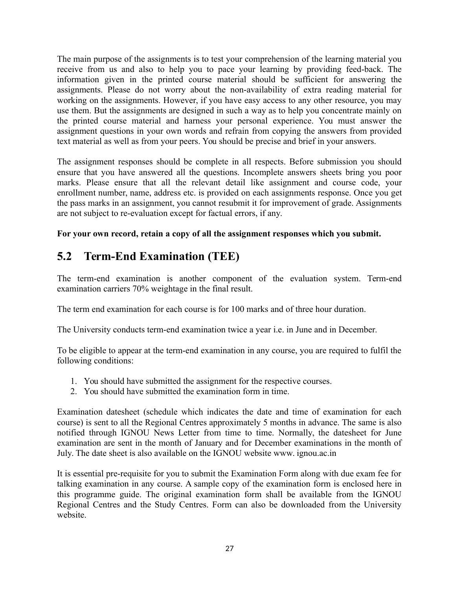The main purpose of the assignments is to test your comprehension of the learning material you receive from us and also to help you to pace your learning by providing feed-back. The information given in the printed course material should be sufficient for answering the assignments. Please do not worry about the non-availability of extra reading material for working on the assignments. However, if you have easy access to any other resource, you may use them. But the assignments are designed in such a way as to help you concentrate mainly on the printed course material and harness your personal experience. You must answer the assignment questions in your own words and refrain from copying the answers from provided text material as well as from your peers. You should be precise and brief in your answers.

The assignment responses should be complete in all respects. Before submission you should ensure that you have answered all the questions. Incomplete answers sheets bring you poor marks. Please ensure that all the relevant detail like assignment and course code, your enrollment number, name, address etc. is provided on each assignments response. Once you get the pass marks in an assignment, you cannot resubmit it for improvement of grade. Assignments are not subject to re-evaluation except for factual errors, if any.

## **For your own record, retain a copy of all the assignment responses which you submit.**

# **5.2 Term-End Examination (TEE)**

The term-end examination is another component of the evaluation system. Term-end examination carriers 70% weightage in the final result.

The term end examination for each course is for 100 marks and of three hour duration.

The University conducts term-end examination twice a year i.e. in June and in December.

To be eligible to appear at the term-end examination in any course, you are required to fulfil the following conditions:

- 1. You should have submitted the assignment for the respective courses.
- 2. You should have submitted the examination form in time.

Examination datesheet (schedule which indicates the date and time of examination for each course) is sent to all the Regional Centres approximately 5 months in advance. The same is also notified through IGNOU News Letter from time to time. Normally, the datesheet for June examination are sent in the month of January and for December examinations in the month of July. The date sheet is also available on the IGNOU website www. ignou.ac.in

It is essential pre-requisite for you to submit the Examination Form along with due exam fee for talking examination in any course. A sample copy of the examination form is enclosed here in this programme guide. The original examination form shall be available from the IGNOU Regional Centres and the Study Centres. Form can also be downloaded from the University website.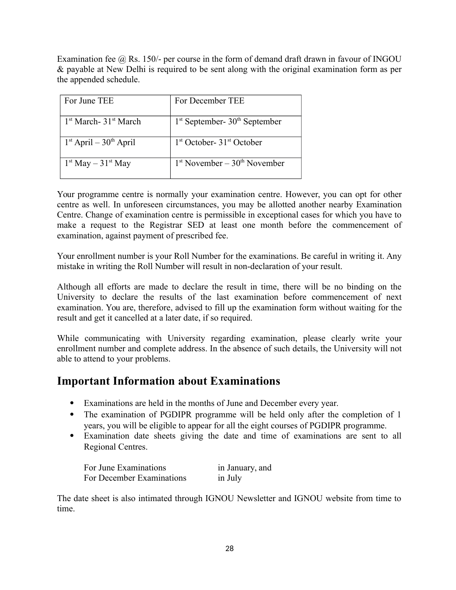Examination fee  $\omega$  Rs. 150/- per course in the form of demand draft drawn in favour of INGOU & payable at New Delhi is required to be sent along with the original examination form as per the appended schedule.

| For June TEE                                  | For December TEE                  |
|-----------------------------------------------|-----------------------------------|
| 1 <sup>st</sup> March- 31 <sup>st</sup> March | $1st$ September- $30th$ September |
| $1st$ April – $30th$ April                    | $1st October-31st October$        |
| $1st$ May $- 31st$ May                        | $1st November - 30th November$    |

Your programme centre is normally your examination centre. However, you can opt for other centre as well. In unforeseen circumstances, you may be allotted another nearby Examination Centre. Change of examination centre is permissible in exceptional cases for which you have to make a request to the Registrar SED at least one month before the commencement of examination, against payment of prescribed fee.

Your enrollment number is your Roll Number for the examinations. Be careful in writing it. Any mistake in writing the Roll Number will result in non-declaration of your result.

Although all efforts are made to declare the result in time, there will be no binding on the University to declare the results of the last examination before commencement of next examination. You are, therefore, advised to fill up the examination form without waiting for the result and get it cancelled at a later date, if so required.

While communicating with University regarding examination, please clearly write your enrollment number and complete address. In the absence of such details, the University will not able to attend to your problems.

## **Important Information about Examinations**

- Examinations are held in the months of June and December every year.
- The examination of PGDIPR programme will be held only after the completion of 1 years, you will be eligible to appear for all the eight courses of PGDIPR programme.
- Examination date sheets giving the date and time of examinations are sent to all Regional Centres.

| For June Examinations     | in January, and |
|---------------------------|-----------------|
| For December Examinations | in July         |

The date sheet is also intimated through IGNOU Newsletter and IGNOU website from time to time.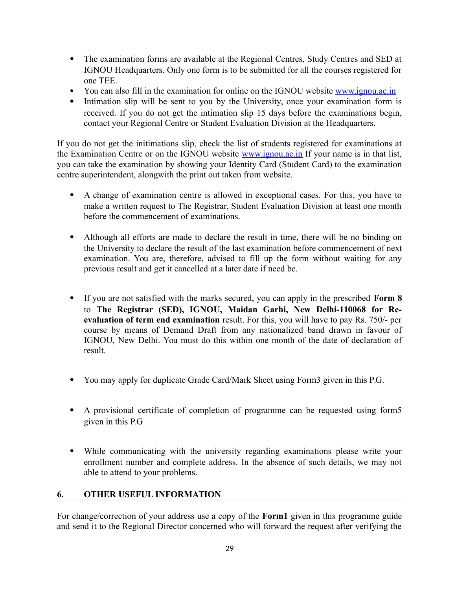- The examination forms are available at the Regional Centres, Study Centres and SED at IGNOU Headquarters. Only one form is to be submitted for all the courses registered for one TEE.
- You can also fill in the examination for online on the IGNOU website [www.ignou.ac.in](http://www.ignou.ac.in/)
- Intimation slip will be sent to you by the University, once your examination form is received. If you do not get the intimation slip 15 days before the examinations begin, contact your Regional Centre or Student Evaluation Division at the Headquarters.

If you do not get the initimations slip, check the list of students registered for examinations at the Examination Centre or on the IGNOU website [www.ignou.ac.in](http://www.ignou.ac.in/) If your name is in that list, you can take the examination by showing your Identity Card (Student Card) to the examination centre superintendent, alongwith the print out taken from website.

- A change of examination centre is allowed in exceptional cases. For this, you have to make a written request to The Registrar, Student Evaluation Division at least one month before the commencement of examinations.
- Although all efforts are made to declare the result in time, there will be no binding on the University to declare the result of the last examination before commencement of next examination. You are, therefore, advised to fill up the form without waiting for any previous result and get it cancelled at a later date if need be.
- If you are not satisfied with the marks secured, you can apply in the prescribed **Form 8** to **The Registrar (SED), IGNOU, Maidan Garhi, New Delhi-110068 for Reevaluation of term end examination** result. For this, you will have to pay Rs. 750/- per course by means of Demand Draft from any nationalized band drawn in favour of IGNOU, New Delhi. You must do this within one month of the date of declaration of result.
- You may apply for duplicate Grade Card/Mark Sheet using Form3 given in this P.G.
- A provisional certificate of completion of programme can be requested using form5 given in this P.G
- While communicating with the university regarding examinations please write your enrollment number and complete address. In the absence of such details, we may not able to attend to your problems.

## **6. OTHER USEFUL INFORMATION**

For change/correction of your address use a copy of the **Form1** given in this programme guide and send it to the Regional Director concerned who will forward the request after verifying the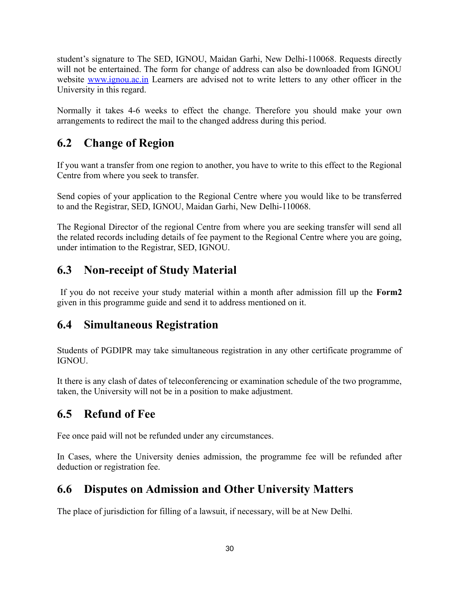student's signature to The SED, IGNOU, Maidan Garhi, New Delhi-110068. Requests directly will not be entertained. The form for change of address can also be downloaded from IGNOU website [www.ignou.ac.in](http://www.ignou.ac.in/) Learners are advised not to write letters to any other officer in the University in this regard.

Normally it takes 4-6 weeks to effect the change. Therefore you should make your own arrangements to redirect the mail to the changed address during this period.

# **6.2 Change of Region**

If you want a transfer from one region to another, you have to write to this effect to the Regional Centre from where you seek to transfer.

Send copies of your application to the Regional Centre where you would like to be transferred to and the Registrar, SED, IGNOU, Maidan Garhi, New Delhi-110068.

The Regional Director of the regional Centre from where you are seeking transfer will send all the related records including details of fee payment to the Regional Centre where you are going, under intimation to the Registrar, SED, IGNOU.

# **6.3 Non-receipt of Study Material**

 If you do not receive your study material within a month after admission fill up the **Form2** given in this programme guide and send it to address mentioned on it.

# **6.4 Simultaneous Registration**

Students of PGDIPR may take simultaneous registration in any other certificate programme of IGNOU.

It there is any clash of dates of teleconferencing or examination schedule of the two programme, taken, the University will not be in a position to make adjustment.

# **6.5 Refund of Fee**

Fee once paid will not be refunded under any circumstances.

In Cases, where the University denies admission, the programme fee will be refunded after deduction or registration fee.

# **6.6 Disputes on Admission and Other University Matters**

The place of jurisdiction for filling of a lawsuit, if necessary, will be at New Delhi.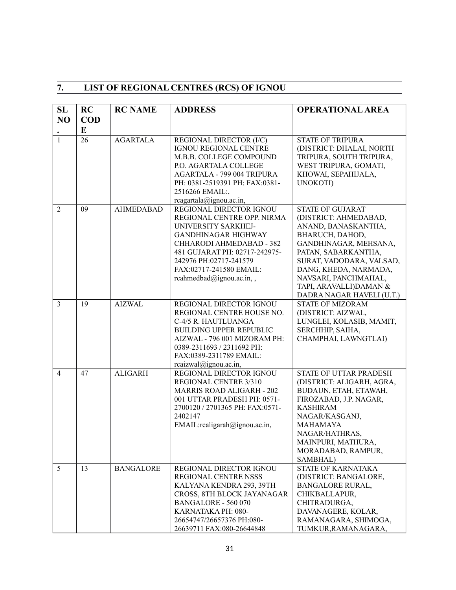# **7. LIST OF REGIONAL CENTRES (RCS) OF IGNOU**

| <b>SL</b>      | RC              | <b>RC NAME</b>   | <b>ADDRESS</b>                                                                                                                                                                                                                                           | <b>OPERATIONAL AREA</b>                                                                                                                                                                                                                                                        |
|----------------|-----------------|------------------|----------------------------------------------------------------------------------------------------------------------------------------------------------------------------------------------------------------------------------------------------------|--------------------------------------------------------------------------------------------------------------------------------------------------------------------------------------------------------------------------------------------------------------------------------|
| N <sub>O</sub> | <b>COD</b><br>E |                  |                                                                                                                                                                                                                                                          |                                                                                                                                                                                                                                                                                |
| $\mathbf{1}$   | 26              | <b>AGARTALA</b>  | REGIONAL DIRECTOR (I/C)<br>IGNOU REGIONAL CENTRE<br>M.B.B. COLLEGE COMPOUND<br>P.O. AGARTALA COLLEGE<br>AGARTALA - 799 004 TRIPURA<br>PH: 0381-2519391 PH: FAX:0381-<br>2516266 EMAIL:,<br>rcagartala@ignou.ac.in,                                       | <b>STATE OF TRIPURA</b><br>(DISTRICT: DHALAI, NORTH<br>TRIPURA, SOUTH TRIPURA,<br>WEST TRIPURA, GOMATI,<br>KHOWAI, SEPAHIJALA,<br>UNOKOTI)                                                                                                                                     |
| $\overline{2}$ | 09              | <b>AHMEDABAD</b> | REGIONAL DIRECTOR IGNOU<br>REGIONAL CENTRE OPP. NIRMA<br>UNIVERSITY SARKHEJ-<br><b>GANDHINAGAR HIGHWAY</b><br>CHHARODI AHMEDABAD - 382<br>481 GUJARAT PH: 02717-242975-<br>242976 PH:02717-241579<br>FAX:02717-241580 EMAIL:<br>rcahmedbad@ignou.ac.in,, | <b>STATE OF GUJARAT</b><br>(DISTRICT: AHMEDABAD,<br>ANAND, BANASKANTHA,<br>BHARUCH, DAHOD,<br>GANDHINAGAR, MEHSANA,<br>PATAN, SABARKANTHA,<br>SURAT, VADODARA, VALSAD,<br>DANG, KHEDA, NARMADA,<br>NAVSARI, PANCHMAHAL,<br>TAPI, ARAVALLI)DAMAN &<br>DADRA NAGAR HAVELI (U.T.) |
| $\overline{3}$ | 19              | <b>AIZWAL</b>    | REGIONAL DIRECTOR IGNOU<br>REGIONAL CENTRE HOUSE NO.<br>C-4/5 R. HAUTLUANGA<br><b>BUILDING UPPER REPUBLIC</b><br>AIZWAL - 796 001 MIZORAM PH:<br>0389-2311693 / 2311692 PH:<br>FAX:0389-2311789 EMAIL:<br>reaizwal@ignou.ac.in,                          | <b>STATE OF MIZORAM</b><br>(DISTRICT: AIZWAL,<br>LUNGLEI, KOLASIB, MAMIT,<br>SERCHHIP, SAIHA,<br>CHAMPHAI, LAWNGTLAI)                                                                                                                                                          |
| $\overline{4}$ | 47              | <b>ALIGARH</b>   | REGIONAL DIRECTOR IGNOU<br>REGIONAL CENTRE 3/310<br><b>MARRIS ROAD ALIGARH - 202</b><br>001 UTTAR PRADESH PH: 0571-<br>2700120 / 2701365 PH: FAX:0571-<br>2402147<br>EMAIL:realigarah@ignou.ac.in,                                                       | STATE OF UTTAR PRADESH<br>(DISTRICT: ALIGARH, AGRA,<br>BUDAUN, ETAH, ETAWAH,<br>FIROZABAD, J.P. NAGAR,<br><b>KASHIRAM</b><br>NAGAR/KASGANJ,<br><b>MAHAMAYA</b><br>NAGAR/HATHRAS<br>MAINPURI, MATHURA,<br>MORADABAD, RAMPUR,<br>SAMBHAL)                                        |
| 5              | 13              | <b>BANGALORE</b> | REGIONAL DIRECTOR IGNOU<br>REGIONAL CENTRE NSSS<br>KALYANA KENDRA 293, 39TH<br>CROSS, 8TH BLOCK JAYANAGAR<br><b>BANGALORE - 560 070</b><br>KARNATAKA PH: 080-<br>26654747/26657376 PH:080-<br>26639711 FAX:080-26644848                                  | <b>STATE OF KARNATAKA</b><br>(DISTRICT: BANGALORE,<br><b>BANGALORE RURAL,</b><br>CHIKBALLAPUR,<br>CHITRADURGA,<br>DAVANAGERE, KOLAR,<br>RAMANAGARA, SHIMOGA,<br>TUMKUR, RAMANAGARA,                                                                                            |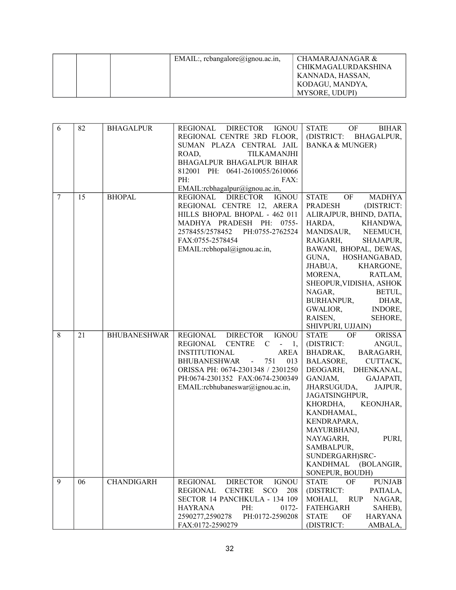| EMAIL:, rcbangalore@ignou.ac.in, | CHAMARAJANAGAR &           |
|----------------------------------|----------------------------|
|                                  | <b>CHIKMAGALURDAKSHINA</b> |
|                                  | KANNADA, HASSAN,           |
|                                  | KODAGU, MANDYA,            |
|                                  | MYSORE, UDUPI)             |

| 6              | 82 | <b>BHAGALPUR</b>    | REGIONAL<br><b>DIRECTOR</b><br><b>IGNOU</b><br>REGIONAL CENTRE 3RD FLOOR, | <b>STATE</b><br><b>OF</b><br>BIHAR<br>(DISTRICT:<br><b>BHAGALPUR,</b> |
|----------------|----|---------------------|---------------------------------------------------------------------------|-----------------------------------------------------------------------|
|                |    |                     | SUMAN PLAZA CENTRAL JAIL                                                  | <b>BANKA &amp; MUNGER)</b>                                            |
|                |    |                     | ROAD,<br>TILKAMANJHI                                                      |                                                                       |
|                |    |                     | BHAGALPUR BHAGALPUR BIHAR                                                 |                                                                       |
|                |    |                     | 812001 PH: 0641-2610055/2610066                                           |                                                                       |
|                |    |                     | PH:<br>FAX:                                                               |                                                                       |
|                |    |                     | EMAIL:rcbhagalpur@ignou.ac.in,                                            |                                                                       |
| $\overline{7}$ | 15 | <b>BHOPAL</b>       | <b>IGNOU</b><br>REGIONAL DIRECTOR                                         | <b>STATE</b><br>OF<br>MADHYA                                          |
|                |    |                     | REGIONAL CENTRE 12, ARERA                                                 | <b>PRADESH</b><br>(DISTRICT:                                          |
|                |    |                     | HILLS BHOPAL BHOPAL - 462 011<br>MADHYA PRADESH PH: 0755-                 | ALIRAJPUR, BHIND, DATIA,<br>HARDA,<br>KHANDWA,                        |
|                |    |                     | 2578455/2578452 PH:0755-2762524                                           | <b>MANDSAUR,</b><br>NEEMUCH,                                          |
|                |    |                     | FAX:0755-2578454                                                          | RAJGARH,<br>SHAJAPUR,                                                 |
|                |    |                     | EMAIL:rcbhopal@ignou.ac.in,                                               | BAWANI, BHOPAL, DEWAS,                                                |
|                |    |                     |                                                                           | GUNA,<br>HOSHANGABAD,                                                 |
|                |    |                     |                                                                           | JHABUA,<br>KHARGONE,                                                  |
|                |    |                     |                                                                           | MORENA,<br>RATLAM,                                                    |
|                |    |                     |                                                                           | SHEOPUR, VIDISHA, ASHOK                                               |
|                |    |                     |                                                                           | NAGAR,<br>BETUL,                                                      |
|                |    |                     |                                                                           | BURHANPUR,<br>DHAR,                                                   |
|                |    |                     |                                                                           | GWALIOR,<br>INDORE,<br>RAISEN,                                        |
|                |    |                     |                                                                           | SEHORE,<br>SHIVPURI, UJJAIN)                                          |
| 8              | 21 | <b>BHUBANESHWAR</b> | DIRECTOR IGNOU<br>REGIONAL                                                | <b>STATE</b><br>OF<br><b>ORISSA</b>                                   |
|                |    |                     | <b>REGIONAL</b><br>CENTRE C -<br>1,                                       | (DISTRICT:<br>ANGUL,                                                  |
|                |    |                     | <b>INSTITUTIONAL</b><br><b>AREA</b>                                       | BHADRAK, BARAGARH,                                                    |
|                |    |                     |                                                                           |                                                                       |
|                |    |                     | BHUBANESHWAR -<br>751<br>013                                              | BALASORE,<br>CUTTACK,                                                 |
|                |    |                     | ORISSA PH: 0674-2301348 / 2301250                                         | DEOGARH, DHENKANAL,                                                   |
|                |    |                     | PH:0674-2301352 FAX:0674-2300349                                          | GANJAM,<br>GAJAPATI,                                                  |
|                |    |                     | EMAIL:rcbhubaneswar@ignou.ac.in,                                          | JHARSUGUDA,<br>JAJPUR,                                                |
|                |    |                     |                                                                           | JAGATSINGHPUR,                                                        |
|                |    |                     |                                                                           | KEONJHAR,<br>KHORDHA,                                                 |
|                |    |                     |                                                                           | KANDHAMAL,                                                            |
|                |    |                     |                                                                           | KENDRAPARA,                                                           |
|                |    |                     |                                                                           | MAYURBHANJ,                                                           |
|                |    |                     |                                                                           | NAYAGARH,<br>PURI,                                                    |
|                |    |                     |                                                                           | SAMBALPUR,                                                            |
|                |    |                     |                                                                           | SUNDERGARH)SRC-<br>KANDHMAL (BOLANGIR,                                |
|                |    |                     |                                                                           | SONEPUR, BOUDH)                                                       |
| 9              | 06 | <b>CHANDIGARH</b>   | <b>REGIONAL</b><br><b>DIRECTOR</b><br><b>IGNOU</b>                        | <b>STATE</b><br>OF<br><b>PUNJAB</b>                                   |
|                |    |                     | <b>REGIONAL</b><br><b>CENTRE</b><br><b>SCO</b><br>208                     | (DISTRICT:<br>PATIALA,                                                |
|                |    |                     | SECTOR 14 PANCHKULA - 134 109                                             | MOHALI,<br><b>RUP</b><br>NAGAR,                                       |
|                |    |                     | <b>HAYRANA</b><br>PH:<br>0172-                                            | <b>FATEHGARH</b><br>SAHEB),                                           |
|                |    |                     | 2590277,2590278<br>PH:0172-2590208<br>FAX:0172-2590279                    | <b>STATE</b><br><b>HARYANA</b><br>OF<br>(DISTRICT:<br>AMBALA,         |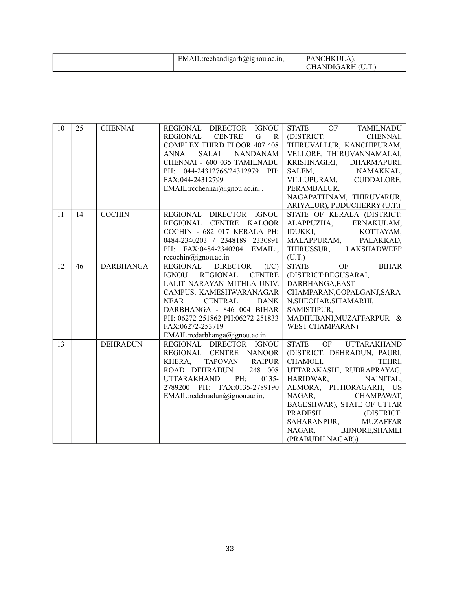|  |  | $\Box$ :rcchandigarh $(a)$ ignou.ac.in,<br>EMAIL. | <b>PANCHKUL</b><br>CHANDIGARH (U.T.) |
|--|--|---------------------------------------------------|--------------------------------------|
|--|--|---------------------------------------------------|--------------------------------------|

| 10 | 25 | <b>CHENNAI</b>   | REGIONAL DIRECTOR IGNOU                                  | STATE OF<br>TAMILNADU                    |
|----|----|------------------|----------------------------------------------------------|------------------------------------------|
|    |    |                  | REGIONAL<br><b>CENTRE</b><br>$\mathsf G$<br>$\mathbf{R}$ | (DISTRICT:<br>CHENNAI,                   |
|    |    |                  | <b>COMPLEX THIRD FLOOR 407-408</b>                       | THIRUVALLUR, KANCHIPURAM,                |
|    |    |                  | <b>ANNA</b><br>SALAI<br><b>NANDANAM</b>                  | VELLORE, THIRUVANNAMALAI,                |
|    |    |                  | CHENNAI - 600 035 TAMILNADU                              | KRISHNAGIRI, DHARMAPURI,                 |
|    |    |                  | PH: 044-24312766/24312979 PH:                            | SALEM,<br>NAMAKKAL,                      |
|    |    |                  | FAX:044-24312799                                         | VILLUPURAM, CUDDALORE,                   |
|    |    |                  | EMAIL:rcchennai@ignou.ac.in,,                            | PERAMBALUR,                              |
|    |    |                  |                                                          | NAGAPATTINAM, THIRUVARUR,                |
|    |    |                  |                                                          | ARIYALUR), PUDUCHERRY (U.T.)             |
| 11 | 14 | <b>COCHIN</b>    | REGIONAL DIRECTOR IGNOU                                  | STATE OF KERALA (DISTRICT:               |
|    |    |                  | REGIONAL CENTRE KALOOR                                   | ALAPPUZHA, ERNAKULAM,                    |
|    |    |                  | COCHIN - 682 017 KERALA PH:                              | <b>IDUKKI,</b><br>KOTTAYAM,              |
|    |    |                  | 0484-2340203 / 2348189 2330891                           | MALAPPURAM, PALAKKAD,                    |
|    |    |                  | PH: FAX:0484-2340204 EMAIL:,                             | THIRUSSUR, LAKSHADWEEP                   |
|    |    |                  | $rccochin@igma$ .ac.in                                   | (U.T.)                                   |
| 12 | 46 | <b>DARBHANGA</b> | REGIONAL DIRECTOR<br>(I/C)                               | OF<br><b>BIHAR</b><br><b>STATE</b>       |
|    |    |                  | <b>IGNOU</b><br>REGIONAL CENTRE                          | (DISTRICT:BEGUSARAI,                     |
|    |    |                  | LALIT NARAYAN MITHLA UNIV.                               | DARBHANGA, EAST                          |
|    |    |                  | CAMPUS, KAMESHWARANAGAR                                  | CHAMPARAN, GOPALGANJ, SARA               |
|    |    |                  | <b>CENTRAL</b><br><b>BANK</b><br>NEAR                    | N, SHEOHAR, SITAMARHI,                   |
|    |    |                  | DARBHANGA - 846 004 BIHAR                                | SAMISTIPUR,                              |
|    |    |                  | PH: 06272-251862 PH:06272-251833                         | MADHUBANI, MUZAFFARPUR &                 |
|    |    |                  | FAX:06272-253719                                         | <b>WEST CHAMPARAN)</b>                   |
|    |    |                  | EMAIL:rcdarbhanga@ignou.ac.in                            |                                          |
| 13 |    | <b>DEHRADUN</b>  | REGIONAL DIRECTOR IGNOU                                  | <b>STATE</b><br>OF<br><b>UTTARAKHAND</b> |
|    |    |                  | REGIONAL CENTRE NANOOR                                   | (DISTRICT: DEHRADUN, PAURI,              |
|    |    |                  | KHERA,<br>TAPOVAN RAIPUR                                 | CHAMOLI,<br>TEHRI,                       |
|    |    |                  | ROAD DEHRADUN - 248 008                                  | UTTARAKASHI, RUDRAPRAYAG,                |
|    |    |                  | PH:<br><b>UTTARAKHAND</b><br>0135-                       | HARIDWAR,<br>NAINITAL,                   |
|    |    |                  | 2789200 PH: FAX:0135-2789190                             | ALMORA, PITHORAGARH, US                  |
|    |    |                  | EMAIL:rcdehradun@ignou.ac.in,                            | NAGAR,<br>CHAMPAWAT,                     |
|    |    |                  |                                                          | BAGESHWAR), STATE OF UTTAR               |
|    |    |                  |                                                          | <b>PRADESH</b><br>(DISTRICT:             |
|    |    |                  |                                                          | SAHARANPUR,<br><b>MUZAFFAR</b>           |
|    |    |                  |                                                          | NAGAR, BIJNORE, SHAMLI                   |
|    |    |                  |                                                          | (PRABUDH NAGAR))                         |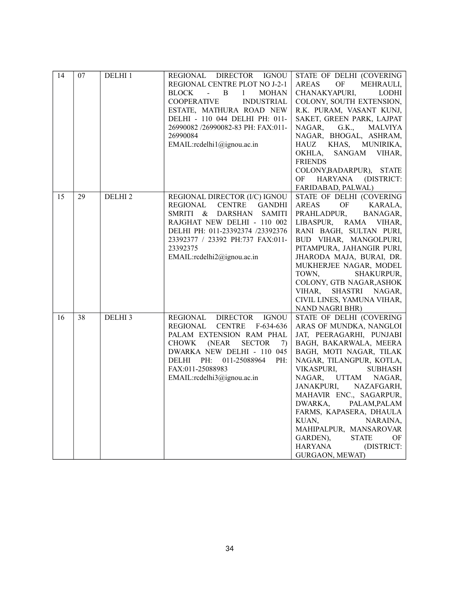| 14 | 07 | DELHI 1            | REGIONAL DIRECTOR IGNOU<br>REGIONAL CENTRE PLOT NO J-2-1<br><b>BLOCK</b><br>$-$ B<br>$\mathbf{1}$<br><b>MOHAN</b><br><b>COOPERATIVE</b><br><b>INDUSTRIAL</b><br>ESTATE, MATHURA ROAD NEW<br>DELHI - 110 044 DELHI PH: 011-<br>26990082 /26990082-83 PH: FAX:011-<br>26990084<br>EMAIL:rcdelhi1@ignou.ac.in | STATE OF DELHI (COVERING<br><b>AREAS</b><br>OF<br><b>MEHRAULI.</b><br>CHANAKYAPURI,<br><b>LODHI</b><br>COLONY, SOUTH EXTENSION,<br>R.K. PURAM, VASANT KUNJ,<br>SAKET, GREEN PARK, LAJPAT<br>NAGAR,<br>G.K., MALVIYA<br>NAGAR, BHOGAL, ASHRAM,<br>KHAS,<br>HAUZ<br>MUNIRIKA,<br>SANGAM VIHAR,<br>OKHLA,<br><b>FRIENDS</b><br>COLONY, BADARPUR), STATE<br>OF<br>HARYANA<br>(DISTRICT:<br>FARIDABAD, PALWAL)                                                                                    |
|----|----|--------------------|------------------------------------------------------------------------------------------------------------------------------------------------------------------------------------------------------------------------------------------------------------------------------------------------------------|----------------------------------------------------------------------------------------------------------------------------------------------------------------------------------------------------------------------------------------------------------------------------------------------------------------------------------------------------------------------------------------------------------------------------------------------------------------------------------------------|
| 15 | 29 | DELHI <sub>2</sub> | REGIONAL DIRECTOR (I/C) IGNOU<br><b>REGIONAL</b><br><b>CENTRE</b><br><b>GANDHI</b><br>SMRITI &<br>DARSHAN SAMITI<br>RAJGHAT NEW DELHI - 110 002<br>DELHI PH: 011-23392374 /23392376<br>23392377 / 23392 PH:737 FAX:011-<br>23392375<br>EMAIL:rcdelhi2@ignou.ac.in                                          | STATE OF DELHI (COVERING<br>$\mathrm{OF}$<br>AREAS<br>KARALA,<br>PRAHLADPUR,<br>BANAGAR,<br>LIBASPUR,<br>RAMA<br>VIHAR,<br>RANI BAGH, SULTAN PURI,<br>BUD VIHAR, MANGOLPURI,<br>PITAMPURA, JAHANGIR PURI,<br>JHARODA MAJA, BURAI, DR.<br>MUKHERJEE NAGAR, MODEL<br>TOWN,<br>SHAKURPUR,<br>COLONY, GTB NAGAR, ASHOK<br>VIHAR, SHASTRI NAGAR,<br>CIVIL LINES, YAMUNA VIHAR,<br>NAND NAGRI BHR)                                                                                                 |
| 16 | 38 | DELHI <sub>3</sub> | REGIONAL<br><b>IGNOU</b><br><b>DIRECTOR</b><br>REGIONAL<br><b>CENTRE</b><br>$F-634-636$<br>PALAM EXTENSION RAM PHAL<br><b>CHOWK</b><br>(NEAR)<br><b>SECTOR</b><br>7)<br>DWARKA NEW DELHI - 110 045<br>PH:<br>DELHI<br>011-25088964<br>PH:<br>FAX:011-25088983<br>EMAIL:rcdelhi3@ignou.ac.in                | STATE OF DELHI (COVERING<br>ARAS OF MUNDKA, NANGLOI<br>JAT, PEERAGARHI, PUNJABI<br>BAGH, BAKARWALA, MEERA<br>BAGH, MOTI NAGAR, TILAK<br>NAGAR, TILANGPUR, KOTLA,<br>VIKASPURI,<br><b>SUBHASH</b><br>NAGAR,<br><b>UTTAM</b><br>NAGAR,<br><b>JANAKPURI,</b><br>NAZAFGARH,<br>MAHAVIR ENC., SAGARPUR,<br>DWARKA,<br>PALAM, PALAM<br>FARMS, KAPASERA, DHAULA<br>KUAN,<br>NARAINA,<br>MAHIPALPUR, MANSAROVAR<br>OF<br>GARDEN),<br><b>STATE</b><br>(DISTRICT:<br><b>HARYANA</b><br>GURGAON, MEWAT) |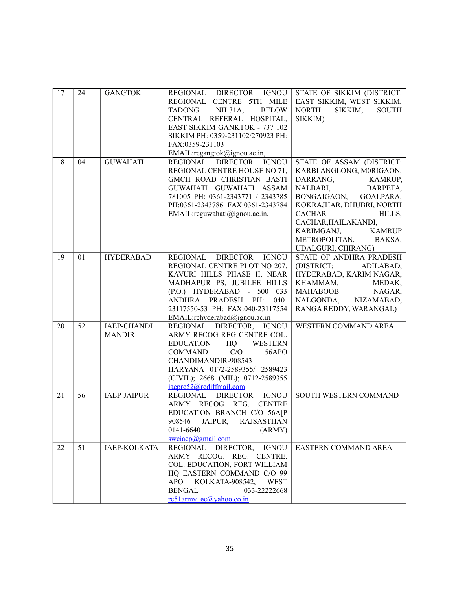| 17 | 24 | <b>GANGTOK</b>      | REGIONAL DIRECTOR IGNOU                     | STATE OF SIKKIM (DISTRICT:                                                     |
|----|----|---------------------|---------------------------------------------|--------------------------------------------------------------------------------|
|    |    |                     | REGIONAL CENTRE 5TH MILE                    | EAST SIKKIM, WEST SIKKIM,                                                      |
|    |    |                     | <b>BELOW</b><br>TADONG NH-31A,              | <b>NORTH</b><br>SIKKIM,<br><b>SOUTH</b>                                        |
|    |    |                     | CENTRAL REFERAL HOSPITAL,                   | SIKKIM)                                                                        |
|    |    |                     | <b>EAST SIKKIM GANKTOK - 737 102</b>        |                                                                                |
|    |    |                     | SIKKIM PH: 0359-231102/270923 PH:           |                                                                                |
|    |    |                     | FAX:0359-231103                             |                                                                                |
|    |    |                     | EMAIL:rcgangtok@ignou.ac.in,                |                                                                                |
| 18 | 04 | <b>GUWAHATI</b>     | REGIONAL DIRECTOR IGNOU                     | STATE OF ASSAM (DISTRICT:                                                      |
|    |    |                     | REGIONAL CENTRE HOUSE NO 71,                | KARBI ANGLONG, M0RIGAON,                                                       |
|    |    |                     | GMCH ROAD CHRISTIAN BASTI                   | DARRANG,<br>KAMRUP,                                                            |
|    |    |                     | GUWAHATI GUWAHATI ASSAM                     | NALBARI,<br>BARPETA,                                                           |
|    |    |                     | 781005 PH: 0361-2343771 / 2343785           | BONGAIGAON, GOALPARA,                                                          |
|    |    |                     | PH:0361-2343786 FAX:0361-2343784            | KOKRAJHAR, DHUBRI, NORTH                                                       |
|    |    |                     | EMAIL:rcguwahati@ignou.ac.in,               | <b>CACHAR</b><br>HILLS,                                                        |
|    |    |                     |                                             | CACHAR, HAILAKANDI,                                                            |
|    |    |                     |                                             | KARIMGANJ,<br><b>KAMRUP</b>                                                    |
|    |    |                     |                                             | METROPOLITAN, BAKSA,                                                           |
|    |    |                     |                                             | UDALGURI, CHIRANG)                                                             |
| 19 | 01 | <b>HYDERABAD</b>    | REGIONAL<br><b>DIRECTOR</b><br><b>IGNOU</b> | STATE OF ANDHRA PRADESH                                                        |
|    |    |                     | REGIONAL CENTRE PLOT NO 207,                | (DISTRICT:<br>ADILABAD,                                                        |
|    |    |                     | KAVURI HILLS PHASE II, NEAR                 | HYDERABAD, KARIM NAGAR,                                                        |
|    |    |                     | MADHAPUR PS, JUBILEE HILLS                  | KHAMMAM,<br>MEDAK,                                                             |
|    |    |                     | (P.O.) HYDERABAD - 500 033                  |                                                                                |
|    |    |                     | ANDHRA PRADESH PH:<br>$040-$                | $\begin{tabular}{ll} MAHABOOB & NAGAR,\\ NALGONDA, & NIZAMABAD, \end{tabular}$ |
|    |    |                     | 23117550-53 PH: FAX:040-23117554            | RANGA REDDY, WARANGAL)                                                         |
|    |    |                     | EMAIL:rchyderabad@ignou.ac.in               |                                                                                |
| 20 | 52 | <b>IAEP-CHANDI</b>  | REGIONAL DIRECTOR, IGNOU                    | <b>WESTERN COMMAND AREA</b>                                                    |
|    |    | <b>MANDIR</b>       | ARMY RECOG REG CENTRE COL.                  |                                                                                |
|    |    |                     | EDUCATION HQ<br><b>WESTERN</b>              |                                                                                |
|    |    |                     | C/O<br>56APO<br>COMMAND                     |                                                                                |
|    |    |                     | CHANDIMANDIR-908543                         |                                                                                |
|    |    |                     | HARYANA 0172-2589355/ 2589423               |                                                                                |
|    |    |                     | (CIVIL); 2668 (MIL); 0712-2589355           |                                                                                |
|    |    |                     | iaeprc52@rediffmail.com                     |                                                                                |
| 21 | 56 | <b>IAEP-JAIPUR</b>  | <b>IGNOU</b><br>REGIONAL<br><b>DIRECTOR</b> | SOUTH WESTERN COMMAND                                                          |
|    |    |                     | ARMY RECOG REG.<br><b>CENTRE</b>            |                                                                                |
|    |    |                     | EDUCATION BRANCH C/O 56A[P                  |                                                                                |
|    |    |                     | 908546 JAIPUR, RAJSASTHAN                   |                                                                                |
|    |    |                     | 0141-6640<br>(ARMY)                         |                                                                                |
|    |    |                     | $s$ wciaep $@g$ mail.com                    |                                                                                |
| 22 | 51 | <b>IAEP-KOLKATA</b> | REGIONAL DIRECTOR, IGNOU                    | <b>EASTERN COMMAND AREA</b>                                                    |
|    |    |                     | ARMY RECOG. REG. CENTRE.                    |                                                                                |
|    |    |                     | COL. EDUCATION, FORT WILLIAM                |                                                                                |
|    |    |                     | HQ EASTERN COMMAND C/O 99                   |                                                                                |
|    |    |                     | KOLKATA-908542,<br>APO -<br>WEST            |                                                                                |
|    |    |                     | <b>BENGAL</b><br>033-22222668               |                                                                                |
|    |    |                     | $rc51$ army $ec(\hat{a})$ yahoo.co.in       |                                                                                |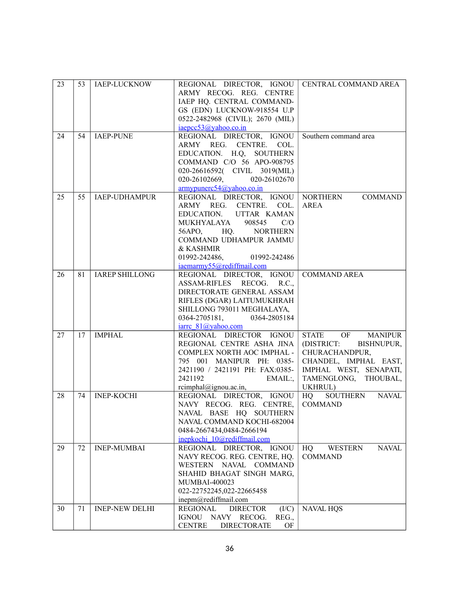| 23 | 53 | <b>IAEP-LUCKNOW</b>   | REGIONAL DIRECTOR, IGNOU<br>ARMY RECOG. REG. CENTRE      | CENTRAL COMMAND AREA                      |
|----|----|-----------------------|----------------------------------------------------------|-------------------------------------------|
|    |    |                       | IAEP HQ. CENTRAL COMMAND-<br>GS (EDN) LUCKNOW-918554 U.P |                                           |
|    |    |                       | 0522-2482968 (CIVIL); 2670 (MIL)                         |                                           |
|    |    |                       | iaepcc53@yahoo.co.in                                     |                                           |
| 24 | 54 | <b>IAEP-PUNE</b>      | REGIONAL DIRECTOR, IGNOU<br>ARMY REG. CENTRE. COL.       | Southern command area                     |
|    |    |                       | EDUCATION. H.Q, SOUTHERN                                 |                                           |
|    |    |                       | COMMAND C/O 56 APO-908795                                |                                           |
|    |    |                       | 020-26616592( CIVIL 3019(MIL)                            |                                           |
|    |    |                       | 020-26102669,<br>020-26102670                            |                                           |
|    |    |                       | $\frac{armypunerc54}{\omega$ yahoo.co.in                 |                                           |
| 25 | 55 | <b>IAEP-UDHAMPUR</b>  | REGIONAL DIRECTOR, IGNOU                                 | <b>NORTHERN</b><br><b>COMMAND</b>         |
|    |    |                       | ARMY REG. CENTRE.<br>COL.                                | <b>AREA</b>                               |
|    |    |                       | EDUCATION. UTTAR KAMAN                                   |                                           |
|    |    |                       | MUKHYALAYA<br>908545<br>C/O                              |                                           |
|    |    |                       | 56APO, HQ.<br><b>NORTHERN</b><br>COMMAND UDHAMPUR JAMMU  |                                           |
|    |    |                       | & KASHMIR                                                |                                           |
|    |    |                       | 01992-242486,<br>01992-242486                            |                                           |
|    |    |                       | iaemarmy55@rediffmail.com                                |                                           |
| 26 | 81 | <b>IAREP SHILLONG</b> | REGIONAL DIRECTOR, IGNOU                                 | <b>COMMAND AREA</b>                       |
|    |    |                       | ASSAM-RIFLES RECOG. R.C.,                                |                                           |
|    |    |                       | DIRECTORATE GENERAL ASSAM                                |                                           |
|    |    |                       | RIFLES (DGAR) LAITUMUKHRAH                               |                                           |
|    |    |                       | SHILLONG 793011 MEGHALAYA,<br>0364-2705181, 0364-2805184 |                                           |
|    |    |                       | iarre 81@yahoo.com                                       |                                           |
| 27 | 17 | <b>IMPHAL</b>         | REGIONAL DIRECTOR IGNOU                                  | STATE OF<br><b>MANIPUR</b>                |
|    |    |                       | REGIONAL CENTRE ASHA JINA                                | (DISTRICT:<br>BISHNUPUR,                  |
|    |    |                       | COMPLEX NORTH AOC IMPHAL -                               | CHURACHANDPUR,                            |
|    |    |                       | 795 001 MANIPUR PH: 0385-                                | CHANDEL, IMPHAL EAST,                     |
|    |    |                       | 2421190 / 2421191 PH: FAX:0385-                          | IMPHAL WEST, SENAPATI,                    |
|    |    |                       | 2421192<br>EMAIL:                                        | TAMENGLONG, THOUBAL,                      |
| 28 | 74 | <b>INEP-KOCHI</b>     | rcimphal@ignou.ac.in,<br>REGIONAL DIRECTOR, IGNOU        | UKHRUL)<br><b>SOUTHERN</b><br>HQ<br>NAVAL |
|    |    |                       | NAVY RECOG. REG. CENTRE,                                 | <b>COMMAND</b>                            |
|    |    |                       | NAVAL BASE HQ SOUTHERN                                   |                                           |
|    |    |                       | NAVAL COMMAND KOCHI-682004                               |                                           |
|    |    |                       | 0484-2667434,0484-2666194                                |                                           |
|    |    |                       | inepkochi 10@rediffmail.com                              |                                           |
| 29 | 72 | <b>INEP-MUMBAI</b>    | REGIONAL DIRECTOR, IGNOU                                 | <b>WESTERN</b><br>HQ<br><b>NAVAL</b>      |
|    |    |                       | NAVY RECOG. REG. CENTRE, HQ.                             | <b>COMMAND</b>                            |
|    |    |                       | WESTERN NAVAL COMMAND<br>SHAHID BHAGAT SINGH MARG,       |                                           |
|    |    |                       | <b>MUMBAI-400023</b>                                     |                                           |
|    |    |                       | 022-22752245,022-22665458                                |                                           |
|    |    |                       | inepm@rediffmail.com                                     |                                           |
| 30 | 71 | <b>INEP-NEW DELHI</b> | <b>REGIONAL</b><br><b>DIRECTOR</b><br>(I/C)              | <b>NAVAL HQS</b>                          |
|    |    |                       | IGNOU NAVY RECOG.<br>REG.,                               |                                           |
|    |    |                       | <b>CENTRE</b><br><b>DIRECTORATE</b><br>OF                |                                           |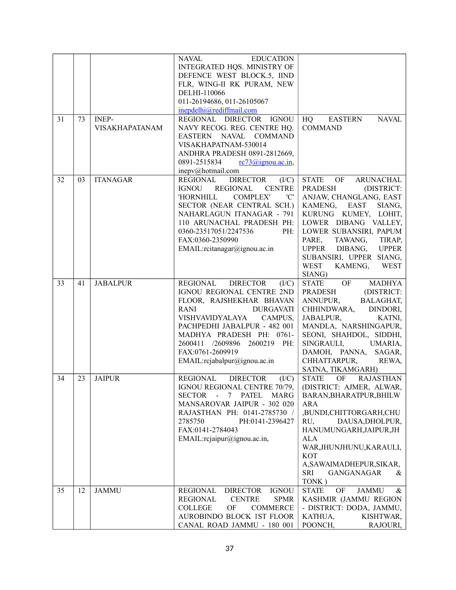|    |    |                 | <b>NAVAL</b><br><b>EDUCATION</b>                             |                                         |
|----|----|-----------------|--------------------------------------------------------------|-----------------------------------------|
|    |    |                 | INTEGRATED HQS. MINISTRY OF                                  |                                         |
|    |    |                 | DEFENCE WEST BLOCK.5, IIND                                   |                                         |
|    |    |                 | FLR, WING-II RK PURAM, NEW                                   |                                         |
|    |    |                 | DELHI-110066                                                 |                                         |
|    |    |                 | 011-26194686, 011-26105067                                   |                                         |
|    |    |                 | inepdelhi@rediffmail.com                                     |                                         |
| 31 | 73 | <b>INEP-</b>    | REGIONAL DIRECTOR IGNOU                                      | <b>EASTERN</b><br>HQ<br><b>NAVAL</b>    |
|    |    | VISAKHAPATANAM  | NAVY RECOG. REG. CENTRE HQ.                                  | <b>COMMAND</b>                          |
|    |    |                 | EASTERN NAVAL COMMAND                                        |                                         |
|    |    |                 | VISAKHAPATNAM-530014                                         |                                         |
|    |    |                 | ANDHRA PRADESH 0891-2812669,                                 |                                         |
|    |    |                 | 0891-2515834<br>$rc73$ ( <i>a</i> ) ignou. ac. in,           |                                         |
|    |    |                 | inepv@hotmail.com                                            |                                         |
| 32 | 03 | <b>ITANAGAR</b> | <b>DIRECTOR</b><br>REGIONAL<br>(I/C)                         | <b>STATE</b><br>OF<br>ARUNACHAL         |
|    |    |                 | IGNOU<br>REGIONAL<br><b>CENTRE</b>                           | <b>PRADESH</b><br>(DISTRICT:            |
|    |    |                 | 'C'<br>'HORNHILL<br><b>COMPLEX'</b>                          | ANJAW, CHANGLANG, EAST                  |
|    |    |                 | SECTOR (NEAR CENTRAL SCH.)                                   | KAMENG, EAST<br>SIANG,                  |
|    |    |                 | NAHARLAGUN ITANAGAR - 791                                    | KURUNG KUMEY, LOHIT,                    |
|    |    |                 | 110 ARUNACHAL PRADESH PH:                                    | LOWER DIBANG VALLEY,                    |
|    |    |                 | 0360-23517051/2247536<br>PH:                                 | LOWER SUBANSIRI, PAPUM                  |
|    |    |                 | FAX:0360-2350990                                             | PARE,<br>TAWANG,<br>TIRAP,              |
|    |    |                 | EMAIL:rcitanagar@ignou.ac.in                                 | UPPER DIBANG,<br><b>UPPER</b>           |
|    |    |                 |                                                              | SUBANSIRI, UPPER SIANG,                 |
|    |    |                 |                                                              | WEST<br>KAMENG, WEST                    |
|    |    |                 |                                                              | SIANG)                                  |
| 33 | 41 | <b>JABALPUR</b> | REGIONAL DIRECTOR<br>(I/C)                                   | STATE OF<br><b>MADHYA</b>               |
|    |    |                 | IGNOU REGIONAL CENTRE 2ND                                    | PRADESH<br>(DISTRICT:                   |
|    |    |                 | FLOOR, RAJSHEKHAR BHAVAN                                     | ANNUPUR, BALAGHAT,                      |
|    |    |                 | DURGAVATI<br>RANI                                            | CHHINDWARA, DINDORI,                    |
|    |    |                 | VISHVAVIDYALAYA<br>CAMPUS,                                   | JABALPUR,<br>KATNI,                     |
|    |    |                 | PACHPEDHI JABALPUR - 482 001                                 | MANDLA, NARSHINGAPUR,                   |
|    |    |                 | MADHYA PRADESH PH: 0761-                                     | SEONI, SHAHDOL, SIDDHI,                 |
|    |    |                 | 2600411 /2609896 2600219 PH:                                 | SINGRAULI,<br>UMARIA,                   |
|    |    |                 | FAX:0761-2609919                                             | DAMOH, PANNA,<br>SAGAR,                 |
|    |    |                 | EMAIL:rcjabalpur@ignou.ac.in                                 | CHHATTARPUR,<br>REWA,                   |
|    |    |                 |                                                              | SATNA, TIKAMGARH)                       |
| 34 | 23 | <b>JAIPUR</b>   | <b>DIRECTOR</b><br>(I/C)<br>REGIONAL                         | <b>STATE</b><br>OF RAJASTHAN            |
|    |    |                 | IGNOU REGIONAL CENTRE 70/79,                                 | (DISTRICT: AJMER, ALWAR,                |
|    |    |                 | <b>MARG</b><br>PATEL<br><b>SECTOR</b><br>$\blacksquare$<br>7 | BARAN, BHARATPUR, BHILW                 |
|    |    |                 | MANSAROVAR JAIPUR - 302 020                                  | ARA                                     |
|    |    |                 | RAJASTHAN PH: 0141-2785730 /                                 | ,BUNDI,CHITTORGARH,CHU                  |
|    |    |                 | 2785750<br>PH:0141-2396427                                   | DAUSA, DHOLPUR,<br>RU.                  |
|    |    |                 | FAX:0141-2784043                                             | HANUMUNGARH, JAIPUR, JH                 |
|    |    |                 | EMAIL:rejaipur@jgnou.ac.in,                                  | ALA                                     |
|    |    |                 |                                                              | WAR, JHUNJHUNU, KARAULI,                |
|    |    |                 |                                                              | <b>KOT</b>                              |
|    |    |                 |                                                              | A, SAWAIMADHEPUR, SIKAR,                |
|    |    |                 |                                                              | SRI<br>GANGANAGAR<br>&                  |
|    |    |                 |                                                              | TONK)                                   |
| 35 | 12 | <b>JAMMU</b>    | <b>REGIONAL</b><br><b>IGNOU</b><br><b>DIRECTOR</b>           | <b>STATE</b><br><b>JAMMU</b><br>OF<br>& |
|    |    |                 | <b>REGIONAL</b><br><b>CENTRE</b><br><b>SPMR</b>              | KASHMIR (JAMMU REGION                   |
|    |    |                 | <b>COLLEGE</b><br>OF<br><b>COMMERCE</b>                      | - DISTRICT: DODA, JAMMU,                |
|    |    |                 | AUROBINDO BLOCK 1ST FLOOR                                    | KATHUA,<br>KISHTWAR,                    |
|    |    |                 | CANAL ROAD JAMMU - 180 001                                   | POONCH,<br>RAJOURI,                     |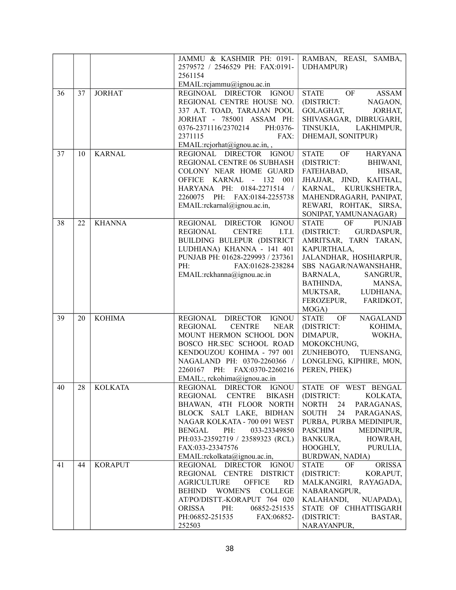|                    |    |                | JAMMU & KASHMIR PH: 0191-                                                    | RAMBAN, REASI, SAMBA,                           |
|--------------------|----|----------------|------------------------------------------------------------------------------|-------------------------------------------------|
|                    |    |                | 2579572 / 2546529 PH: FAX:0191-                                              | <b>UDHAMPUR)</b>                                |
|                    |    |                | 2561154                                                                      |                                                 |
|                    |    |                | EMAIL:rcjammu@ignou.ac.in                                                    |                                                 |
| 36                 | 37 | <b>JORHAT</b>  | REGINOAL DIRECTOR IGNOU                                                      | STATE OF<br><b>ASSAM</b>                        |
|                    |    |                | REGIONAL CENTRE HOUSE NO.                                                    | (DISTRICT:<br>NAGAON,                           |
|                    |    |                | 337 A.T. TOAD, TARAJAN POOL                                                  | GOLAGHAT,<br>JORHAT,                            |
|                    |    |                | JORHAT - 785001 ASSAM PH:                                                    | SHIVASAGAR, DIBRUGARH,                          |
|                    |    |                | 0376-2371116/2370214 PH:0376-                                                | TINSUKIA, LAKHIMPUR,                            |
|                    |    |                | 2371115<br>FAX:                                                              | DHEMAJI, SONITPUR)                              |
|                    |    |                | EMAIL:rcjorhat@ignou.ac.in,,                                                 |                                                 |
| 37                 | 10 | <b>KARNAL</b>  | REGIONAL DIRECTOR IGNOU                                                      | OF<br><b>STATE</b><br>HARYANA                   |
|                    |    |                | REGIONAL CENTRE 06 SUBHASH                                                   | (DISTRICT:<br>BHIWANI,                          |
|                    |    |                | COLONY NEAR HOME GUARD                                                       | FATEHABAD,<br>HISAR,                            |
|                    |    |                | OFFICE KARNAL - 132 001                                                      | JHAJJAR, JIND, KAITHAL,                         |
|                    |    |                | HARYANA PH: 0184-2271514 /                                                   | KARNAL, KURUKSHETRA,                            |
|                    |    |                | 2260075 PH: FAX:0184-2255738                                                 | MAHENDRAGARH, PANIPAT,                          |
|                    |    |                | EMAIL:rckarnal@ignou.ac.in,                                                  | REWARI, ROHTAK, SIRSA,<br>SONIPAT, YAMUNANAGAR) |
| 38                 | 22 | <b>KHANNA</b>  | REGIONAL DIRECTOR IGNOU                                                      | OF<br><b>PUNJAB</b><br><b>STATE</b>             |
|                    |    |                | REGIONAL<br><b>CENTRE</b><br>I.T.I.                                          | (DISTRICT: GURDASPUR,                           |
|                    |    |                | BUILDING BULEPUR (DISTRICT                                                   | AMRITSAR, TARN TARAN,                           |
|                    |    |                | LUDHIANA) KHANNA - 141 401                                                   | KAPURTHALA,                                     |
|                    |    |                | PUNJAB PH: 01628-229993 / 237361                                             | JALANDHAR, HOSHIARPUR,                          |
|                    |    |                | PH:<br>FAX:01628-238284                                                      | SBS NAGAR/NAWANSHAHR,                           |
|                    |    |                | EMAIL:rckhanna@ignou.ac.in                                                   | SANGRUR,<br>BARNALA,                            |
|                    |    |                |                                                                              | BATHINDA,<br>MANSA,                             |
|                    |    |                |                                                                              | MUKTSAR, LUDHIANA,                              |
|                    |    |                |                                                                              | FEROZEPUR, FARIDKOT,                            |
|                    |    |                |                                                                              | MOGA)                                           |
| 39                 | 20 | <b>KOHIMA</b>  | REGIONAL DIRECTOR IGNOU                                                      | STATE OF NAGALAND                               |
|                    |    |                | REGIONAL<br><b>CENTRE</b><br>NEAR                                            | (DISTRICT:<br>KOHIMA,                           |
|                    |    |                | MOUNT HERMON SCHOOL DON                                                      | DIMAPUR,<br>WOKHA,                              |
|                    |    |                | BOSCO HR.SEC SCHOOL ROAD                                                     | MOKOKCHUNG,                                     |
|                    |    |                | KENDOUZOU KOHIMA - 797 001                                                   | TUENSANG,<br>ZUNHEBOTO,                         |
|                    |    |                | NAGALAND PH: 0370-2260366 /                                                  | LONGLENG, KIPHIRE, MON,                         |
|                    |    |                | 2260167 PH: FAX:0370-2260216                                                 | PEREN, PHEK)                                    |
| $\lceil 40 \rceil$ |    | 28 KOLKATA     | EMAIL:, rckohima@ignou.ac.in<br>REGIONAL DIRECTOR IGNOU STATE OF WEST BENGAL |                                                 |
|                    |    |                | REGIONAL CENTRE BIKASH                                                       | (DISTRICT:<br>KOLKATA,                          |
|                    |    |                | BHAWAN, 4TH FLOOR NORTH                                                      | 24<br>PARAGANAS,<br>NORTH                       |
|                    |    |                | BLOCK SALT LAKE, BIDHAN                                                      | 24<br>SOUTH<br>PARAGANAS,                       |
|                    |    |                | NAGAR KOLKATA - 700 091 WEST                                                 | PURBA, PURBA MEDINIPUR,                         |
|                    |    |                | BENGAL<br>PH:<br>033-23349850                                                | PASCHIM<br>MEDINIPUR,                           |
|                    |    |                | PH:033-23592719 / 23589323 (RCL)                                             | BANKURA,<br>HOWRAH,                             |
|                    |    |                | FAX:033-23347576                                                             | HOOGHLY, PURULIA,                               |
|                    |    |                | EMAIL:rckolkata@ignou.ac.in,                                                 | BURDWAN, NADIA)                                 |
| 41                 | 44 | <b>KORAPUT</b> | REGIONAL DIRECTOR IGNOU                                                      | <b>ORISSA</b><br><b>STATE</b><br>OF             |
|                    |    |                | REGIONAL CENTRE DISTRICT                                                     | (DISTRICT:<br>KORAPUT,                          |
|                    |    |                | <b>OFFICE</b><br><b>AGRICULTURE</b><br><b>RD</b>                             | MALKANGIRI, RAYAGADA,                           |
|                    |    |                | BEHIND WOMEN'S COLLEGE                                                       | NABARANGPUR,                                    |
|                    |    |                | AT/PO/DISTT.-KORAPUT 764 020                                                 | NUAPADA),<br>KALAHANDI,                         |
|                    |    |                | ORISSA<br>PH:<br>06852-251535                                                | STATE OF CHHATTISGARH                           |
|                    |    |                | PH:06852-251535<br>FAX:06852-                                                | (DISTRICT:<br>BASTAR,                           |
|                    |    |                | 252503                                                                       | NARAYANPUR,                                     |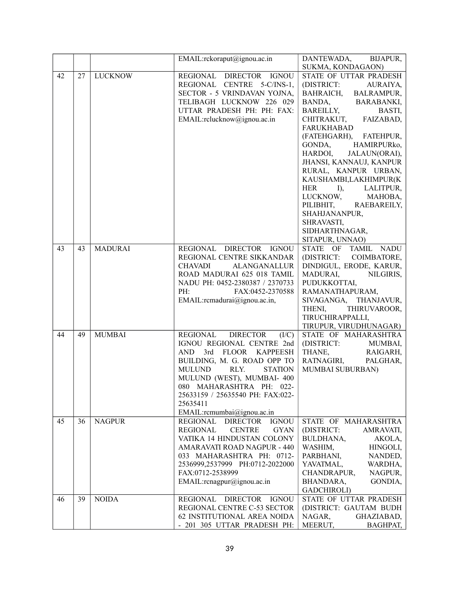|    |    |                | EMAIL:rckoraput@ignou.ac.in                               | DANTEWADA,<br>BIJAPUR,                               |
|----|----|----------------|-----------------------------------------------------------|------------------------------------------------------|
|    |    |                |                                                           | SUKMA, KONDAGAON)                                    |
| 42 | 27 | <b>LUCKNOW</b> | REGIONAL DIRECTOR IGNOU                                   | STATE OF UTTAR PRADESH                               |
|    |    |                | REGIONAL CENTRE 5-C/INS-1,                                | (DISTRICT:<br>AURAIYA,                               |
|    |    |                | SECTOR - 5 VRINDAVAN YOJNA,                               | BAHRAICH,<br>BALRAMPUR,                              |
|    |    |                | TELIBAGH LUCKNOW 226 029                                  | BANDA, BAR<br>BAREILLY,<br><b>BARABANKI,</b>         |
|    |    |                | UTTAR PRADESH PH: PH: FAX:                                | BASTI,                                               |
|    |    |                | EMAIL:rclucknow@ignou.ac.in                               | CHITRAKUT, FAIZABAD,                                 |
|    |    |                |                                                           | <b>FARUKHABAD</b>                                    |
|    |    |                |                                                           | (FATEHGARH), FATEHPUR,<br>HAMIRPURko,                |
|    |    |                |                                                           | GONDA,<br>HARDOI,<br>JALAUN(ORAI),                   |
|    |    |                |                                                           | JHANSI, KANNAUJ, KANPUR                              |
|    |    |                |                                                           | RURAL, KANPUR URBAN,                                 |
|    |    |                |                                                           | KAUSHAMBI,LAKHIMPUR(K                                |
|    |    |                |                                                           | HER<br>I),<br>LALITPUR,                              |
|    |    |                |                                                           | LUCKNOW,<br>MAHOBA,                                  |
|    |    |                |                                                           | PILIBHIT, RAEBAREILY,                                |
|    |    |                |                                                           | SHAHJANANPUR,                                        |
|    |    |                |                                                           | SHRAVASTI,                                           |
|    |    |                |                                                           | SIDHARTHNAGAR,                                       |
|    |    |                |                                                           | SITAPUR, UNNAO)                                      |
| 43 | 43 | <b>MADURAI</b> | REGIONAL DIRECTOR IGNOU                                   | STATE OF TAMIL<br>NADU                               |
|    |    |                | REGIONAL CENTRE SIKKANDAR<br><b>ALANGANALLUR</b>          | (DISTRICT:<br>COIMBATORE,<br>DINDIGUL, ERODE, KARUR, |
|    |    |                | <b>CHAVADI</b><br>ROAD MADURAI 625 018 TAMIL              | MADURAI,<br>NILGIRIS,                                |
|    |    |                | NADU PH: 0452-2380387 / 2370733                           | PUDUKKOTTAI,                                         |
|    |    |                | PH:<br>FAX:0452-2370588                                   | RAMANATHAPURAM,                                      |
|    |    |                | EMAIL:remadurai@ignou.ac.in,                              | SIVAGANGA, THANJAVUR,                                |
|    |    |                |                                                           | THENI,<br>THIRUVAROOR,                               |
|    |    |                |                                                           | TIRUCHIRAPPALLI,                                     |
|    |    |                |                                                           | TIRUPUR, VIRUDHUNAGAR)                               |
| 44 | 49 | <b>MUMBAI</b>  | REGIONAL DIRECTOR<br>(I/C)                                | STATE OF MAHARASHTRA                                 |
|    |    |                | IGNOU REGIONAL CENTRE 2nd                                 | (DISTRICT:<br>MUMBAI,                                |
|    |    |                | AND<br>3rd FLOOR KAPPEESH                                 | THANE,<br>RAIGARH,                                   |
|    |    |                | BUILDING, M. G. ROAD OPP TO                               | RATNAGIRI,<br>PALGHAR,                               |
|    |    |                | RLY.<br>MULUND<br><b>STATION</b>                          | MUMBAI SUBURBAN)                                     |
|    |    |                | MULUND (WEST), MUMBAI- 400<br>080 MAHARASHTRA PH: 022-    |                                                      |
|    |    |                | 25633159 / 25635540 PH: FAX:022-                          |                                                      |
|    |    |                | 25635411                                                  |                                                      |
|    |    |                | EMAIL:rcmumbai@ignou.ac.in                                |                                                      |
| 45 | 36 | <b>NAGPUR</b>  | <b>DIRECTOR</b><br><b>IGNOU</b><br>REGIONAL               | STATE OF MAHARASHTRA                                 |
|    |    |                | <b>REGIONAL</b><br><b>CENTRE</b><br><b>GYAN</b>           | (DISTRICT:<br>AMRAVATI,                              |
|    |    |                | VATIKA 14 HINDUSTAN COLONY                                | BULDHANA,<br>AKOLA,                                  |
|    |    |                | AMARAVATI ROAD NAGPUR - 440                               | WASHIM,<br>HINGOLI,                                  |
|    |    |                | 033 MAHARASHTRA PH: 0712-                                 | PARBHANI,<br>NANDED,                                 |
|    |    |                | 2536999,2537999 PH:0712-2022000                           | YAVATMAL,<br>WARDHA,                                 |
|    |    |                | FAX:0712-2538999                                          | CHANDRAPUR,<br>NAGPUR,                               |
|    |    |                | EMAIL:rcnagpur@ignou.ac.in                                | GONDIA,<br>BHANDARA,                                 |
|    |    |                |                                                           | <b>GADCHIROLI</b> )                                  |
| 46 | 39 | <b>NOIDA</b>   | REGIONAL<br>DIRECTOR IGNOU<br>REGIONAL CENTRE C-53 SECTOR | STATE OF UTTAR PRADESH<br>(DISTRICT: GAUTAM BUDH     |
|    |    |                | 62 INSTITUTIONAL AREA NOIDA                               | NAGAR,<br>GHAZIABAD,                                 |
|    |    |                | - 201 305 UTTAR PRADESH PH:                               | MEERUT,<br>BAGHPAT,                                  |
|    |    |                |                                                           |                                                      |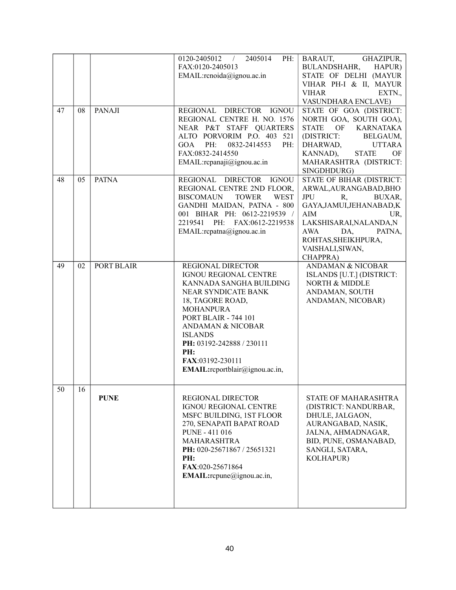| 47 | 08 | <b>PANAJI</b> | 2405014<br>0120-2405012<br>PH:<br>$\frac{1}{2}$<br>FAX:0120-2405013<br>EMAIL:rcnoida@ignou.ac.in<br>REGIONAL DIRECTOR IGNOU                                                                                                                                                                                     | BARAUT,<br>GHAZIPUR,<br><b>BULANDSHAHR,</b><br>HAPUR)<br>STATE OF DELHI (MAYUR<br>VIHAR PH-I & II, MAYUR<br><b>VIHAR</b><br>EXTN.,<br>VASUNDHARA ENCLAVE)<br>STATE OF GOA (DISTRICT:                                                          |
|----|----|---------------|-----------------------------------------------------------------------------------------------------------------------------------------------------------------------------------------------------------------------------------------------------------------------------------------------------------------|-----------------------------------------------------------------------------------------------------------------------------------------------------------------------------------------------------------------------------------------------|
|    |    |               | REGIONAL CENTRE H. NO. 1576<br>NEAR P&T STAFF QUARTERS<br>ALTO PORVORIM P.O. 403 521<br>GOA<br>PH:<br>0832-2414553<br>PH:<br>FAX:0832-2414550<br>EMAIL:rcpanaji@ignou.ac.in                                                                                                                                     | NORTH GOA, SOUTH GOA),<br>OF<br><b>KARNATAKA</b><br><b>STATE</b><br>(DISTRICT:<br>BELGAUM,<br>DHARWAD,<br><b>UTTARA</b><br>KANNAD),<br><b>STATE</b><br>OF<br>MAHARASHTRA (DISTRICT:<br>SINGDHDURG)                                            |
| 48 | 05 | <b>PATNA</b>  | REGIONAL DIRECTOR IGNOU<br>REGIONAL CENTRE 2ND FLOOR,<br><b>BISCOMAUN</b><br><b>TOWER</b><br><b>WEST</b><br>GANDHI MAIDAN, PATNA - 800<br>001 BIHAR PH: 0612-2219539 /<br>2219541 PH: FAX:0612-2219538<br>EMAIL:rcpatna@ignou.ac.in                                                                             | STATE OF BIHAR (DISTRICT:<br>ARWAL, AURANGABAD, BHO<br><b>JPU</b><br>BUXAR,<br>R,<br>GAYA, JAMUI, JEHANABAD, K<br>AIM<br>UR,<br>LAKSHISARAI, NALANDA, N<br><b>AWA</b><br>DA,<br>PATNA,<br>ROHTAS, SHEIKHPURA,<br>VAISHALI, SIWAN,<br>CHAPPRA) |
| 49 | 02 | PORT BLAIR    | REGIONAL DIRECTOR<br>IGNOU REGIONAL CENTRE<br>KANNADA SANGHA BUILDING<br>NEAR SYNDICATE BANK<br>18, TAGORE ROAD,<br><b>MOHANPURA</b><br><b>PORT BLAIR - 744 101</b><br><b>ANDAMAN &amp; NICOBAR</b><br><b>ISLANDS</b><br>PH: 03192-242888 / 230111<br>PH:<br>FAX:03192-230111<br>EMAIL:rcportblair@ignou.ac.in, | <b>ANDAMAN &amp; NICOBAR</b><br>ISLANDS [U.T.] (DISTRICT:<br>NORTH & MIDDLE<br>ANDAMAN, SOUTH<br>ANDAMAN, NICOBAR)                                                                                                                            |
| 50 | 16 | <b>PUNE</b>   | <b>REGIONAL DIRECTOR</b><br><b>IGNOU REGIONAL CENTRE</b><br>MSFC BUILDING, 1ST FLOOR<br>270, SENAPATI BAPAT ROAD<br>PUNE - 411 016<br><b>MAHARASHTRA</b><br>PH: 020-25671867 / 25651321<br>PH:<br>FAX:020-25671864<br>EMAIL:rcpune@ignou.ac.in,                                                                 | <b>STATE OF MAHARASHTRA</b><br>(DISTRICT: NANDURBAR,<br>DHULE, JALGAON,<br>AURANGABAD, NASIK,<br>JALNA, AHMADNAGAR,<br>BID, PUNE, OSMANABAD,<br>SANGLI, SATARA,<br><b>KOLHAPUR)</b>                                                           |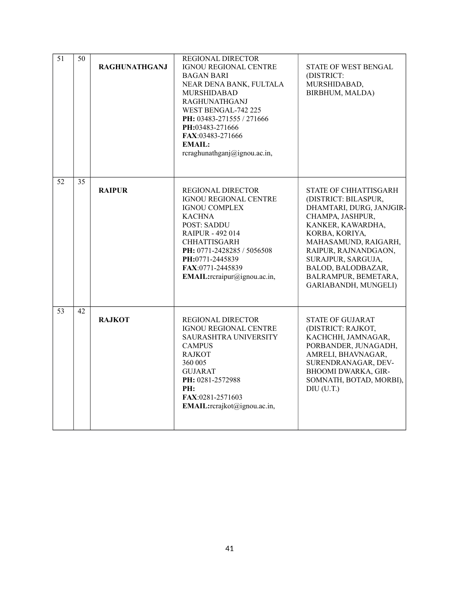| $\overline{51}$ | 50 | <b>RAGHUNATHGANJ</b> | <b>REGIONAL DIRECTOR</b><br><b>IGNOU REGIONAL CENTRE</b><br><b>BAGAN BARI</b><br>NEAR DENA BANK, FULTALA<br>MURSHIDABAD<br><b>RAGHUNATHGANJ</b><br>WEST BENGAL-742 225<br>PH: 03483-271555 / 271666<br>PH:03483-271666<br>FAX:03483-271666<br><b>EMAIL:</b><br>rcraghunathganj@ignou.ac.in, | STATE OF WEST BENGAL<br>(DISTRICT:<br>MURSHIDABAD,<br>BIRBHUM, MALDA)                                                                                                                                                                                                            |
|-----------------|----|----------------------|---------------------------------------------------------------------------------------------------------------------------------------------------------------------------------------------------------------------------------------------------------------------------------------------|----------------------------------------------------------------------------------------------------------------------------------------------------------------------------------------------------------------------------------------------------------------------------------|
| 52              | 35 | <b>RAIPUR</b>        | REGIONAL DIRECTOR<br>IGNOU REGIONAL CENTRE<br><b>IGNOU COMPLEX</b><br><b>KACHNA</b><br><b>POST: SADDU</b><br><b>RAIPUR - 492 014</b><br><b>CHHATTISGARH</b><br>PH: 0771-2428285 / 5056508<br>PH:0771-2445839<br>FAX:0771-2445839<br>EMAIL: $r$ craipur@ignou.ac.in,                         | STATE OF CHHATTISGARH<br>(DISTRICT: BILASPUR,<br>DHAMTARI, DURG, JANJGIR-<br>CHAMPA, JASHPUR,<br>KANKER, KAWARDHA,<br>KORBA, KORIYA,<br>MAHASAMUND, RAIGARH,<br>RAIPUR, RAJNANDGAON,<br>SURAJPUR, SARGUJA,<br>BALOD, BALODBAZAR,<br>BALRAMPUR, BEMETARA,<br>GARIABANDH, MUNGELI) |
| 53              | 42 | <b>RAJKOT</b>        | REGIONAL DIRECTOR<br><b>IGNOU REGIONAL CENTRE</b><br>SAURASHTRA UNIVERSITY<br><b>CAMPUS</b><br><b>RAJKOT</b><br>360 005<br><b>GUJARAT</b><br>PH: 0281-2572988<br>PH:<br>FAX:0281-2571603<br>EMAIL:rcrajkot@ignou.ac.in,                                                                     | <b>STATE OF GUJARAT</b><br>(DISTRICT: RAJKOT,<br>KACHCHH, JAMNAGAR,<br>PORBANDER, JUNAGADH,<br>AMRELI, BHAVNAGAR,<br>SURENDRANAGAR, DEV-<br>BHOOMI DWARKA, GIR-<br>SOMNATH, BOTAD, MORBI),<br>$DIU$ (U.T.)                                                                       |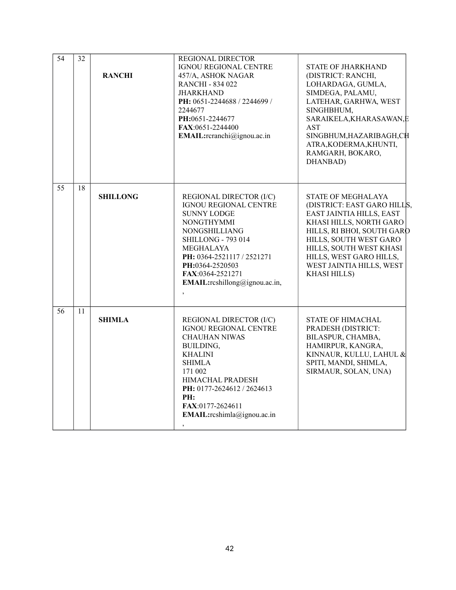| $\overline{54}$ | 32 | <b>RANCHI</b>   | REGIONAL DIRECTOR<br>IGNOU REGIONAL CENTRE<br>457/A, ASHOK NAGAR<br><b>RANCHI - 834 022</b><br><b>JHARKHAND</b><br>PH: 0651-2244688 / 2244699 /<br>2244677<br>PH:0651-2244677<br>FAX:0651-2244400<br>EMAIL:reranchi@ignou.ac.in                                                | STATE OF JHARKHAND<br>(DISTRICT: RANCHI,<br>LOHARDAGA, GUMLA,<br>SIMDEGA, PALAMU,<br>LATEHAR, GARHWA, WEST<br>SINGHBHUM,<br>SARAIKELA, KHARASAWAN, E<br><b>AST</b><br>SINGBHUM, HAZARIBAGH, CH<br>ATRA, KODERMA, KHUNTI,<br>RAMGARH, BOKARO,<br>DHANBAD)                  |
|-----------------|----|-----------------|--------------------------------------------------------------------------------------------------------------------------------------------------------------------------------------------------------------------------------------------------------------------------------|---------------------------------------------------------------------------------------------------------------------------------------------------------------------------------------------------------------------------------------------------------------------------|
| 55              | 18 | <b>SHILLONG</b> | REGIONAL DIRECTOR (I/C)<br>IGNOU REGIONAL CENTRE<br><b>SUNNY LODGE</b><br><b>NONGTHYMMI</b><br><b>NONGSHILLIANG</b><br><b>SHILLONG - 793 014</b><br>MEGHALAYA<br>PH: 0364-2521117 / 2521271<br>PH:0364-2520503<br>FAX:0364-2521271<br><b>EMAIL:</b> $r$ cshillong@ignou.ac.in, | STATE OF MEGHALAYA<br>(DISTRICT: EAST GARO HILLS,<br>EAST JAINTIA HILLS, EAST<br>KHASI HILLS, NORTH GARO<br>HILLS, RI BHOI, SOUTH GARO<br>HILLS, SOUTH WEST GARO<br>HILLS, SOUTH WEST KHASI<br>HILLS, WEST GARO HILLS,<br>WEST JAINTIA HILLS, WEST<br><b>KHASI HILLS)</b> |
| 56              | 11 | <b>SHIMLA</b>   | REGIONAL DIRECTOR (I/C)<br><b>IGNOU REGIONAL CENTRE</b><br><b>CHAUHAN NIWAS</b><br>BUILDING,<br><b>KHALINI</b><br><b>SHIMLA</b><br>171 002<br>HIMACHAL PRADESH<br>PH: 0177-2624612 / 2624613<br>PH:<br>FAX:0177-2624611<br>EMAIL: reshimla@ignou.ac.in                         | STATE OF HIMACHAL<br>PRADESH (DISTRICT:<br>BILASPUR, CHAMBA,<br>HAMIRPUR, KANGRA,<br>KINNAUR, KULLU, LAHUL &<br>SPITI, MANDI, SHIMLA,<br>SIRMAUR, SOLAN, UNA)                                                                                                             |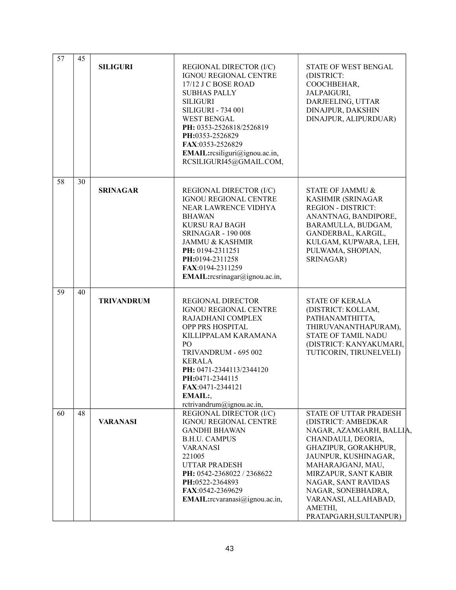| 57 | 45 |                   |                                                                                                                                                                                                                                                                                                            |                                                                                                                                                                                                                                                                                                        |
|----|----|-------------------|------------------------------------------------------------------------------------------------------------------------------------------------------------------------------------------------------------------------------------------------------------------------------------------------------------|--------------------------------------------------------------------------------------------------------------------------------------------------------------------------------------------------------------------------------------------------------------------------------------------------------|
|    |    | <b>SILIGURI</b>   | REGIONAL DIRECTOR (I/C)<br><b>IGNOU REGIONAL CENTRE</b><br>17/12 J C BOSE ROAD<br><b>SUBHAS PALLY</b><br><b>SILIGURI</b><br><b>SILIGURI - 734 001</b><br><b>WEST BENGAL</b><br>PH: 0353-2526818/2526819<br>PH:0353-2526829<br>FAX:0353-2526829<br>EMAIL:rcsiliguri@ignou.ac.in,<br>RCSILIGURI45@GMAIL.COM, | STATE OF WEST BENGAL<br>(DISTRICT:<br>COOCHBEHAR,<br>JALPAIGURI,<br>DARJEELING, UTTAR<br>DINAJPUR, DAKSHIN<br>DINAJPUR, ALIPURDUAR)                                                                                                                                                                    |
| 58 | 30 |                   |                                                                                                                                                                                                                                                                                                            |                                                                                                                                                                                                                                                                                                        |
|    |    | <b>SRINAGAR</b>   | REGIONAL DIRECTOR (I/C)<br>IGNOU REGIONAL CENTRE<br>NEAR LAWRENCE VIDHYA<br><b>BHAWAN</b><br><b>KURSU RAJ BAGH</b><br><b>SRINAGAR - 190 008</b><br><b>JAMMU &amp; KASHMIR</b><br>PH: 0194-2311251<br>PH:0194-2311258<br>FAX:0194-2311259<br>EMAIL:rcsrinagar@ignou.ac.in,                                  | STATE OF JAMMU &<br><b>KASHMIR (SRINAGAR</b><br><b>REGION - DISTRICT:</b><br>ANANTNAG, BANDIPORE,<br>BARAMULLA, BUDGAM,<br>GANDERBAL, KARGIL,<br>KULGAM, KUPWARA, LEH,<br>PULWAMA, SHOPIAN,<br>SRINAGAR)                                                                                               |
| 59 | 40 | <b>TRIVANDRUM</b> | REGIONAL DIRECTOR<br>IGNOU REGIONAL CENTRE<br>RAJADHANI COMPLEX<br>OPP PRS HOSPITAL<br>KILLIPPALAM KARAMANA<br>P <sub>O</sub><br>TRIVANDRUM - 695 002<br><b>KERALA</b><br>PH: 0471-2344113/2344120<br>PH:0471-2344115<br>FAX:0471-2344121<br>EMAIL:<br>rctrivandrum@ignou.ac.in,                           | <b>STATE OF KERALA</b><br>(DISTRICT: KOLLAM,<br>PATHANAMTHITTA,<br>THIRUVANANTHAPURAM),<br>STATE OF TAMIL NADU<br>(DISTRICT: KANYAKUMARI,<br>TUTICORIN, TIRUNELVELI)                                                                                                                                   |
| 60 | 48 | <b>VARANASI</b>   | REGIONAL DIRECTOR (I/C)<br>IGNOU REGIONAL CENTRE<br><b>GANDHI BHAWAN</b><br><b>B.H.U. CAMPUS</b><br><b>VARANASI</b><br>221005<br><b>UTTAR PRADESH</b><br>PH: 0542-2368022 / 2368622<br>PH:0522-2364893<br>FAX:0542-2369629<br>EMAIL:rcvaranasi@ignou.ac.in,                                                | STATE OF UTTAR PRADESH<br>(DISTRICT: AMBEDKAR<br>NAGAR, AZAMGARH, BALLIA,<br>CHANDAULI, DEORIA,<br>GHAZIPUR, GORAKHPUR,<br>JAUNPUR, KUSHINAGAR,<br>MAHARAJGANJ, MAU,<br>MIRZAPUR, SANT KABIR<br>NAGAR, SANT RAVIDAS<br>NAGAR, SONEBHADRA,<br>VARANASI, ALLAHABAD,<br>AMETHI,<br>PRATAPGARH, SULTANPUR) |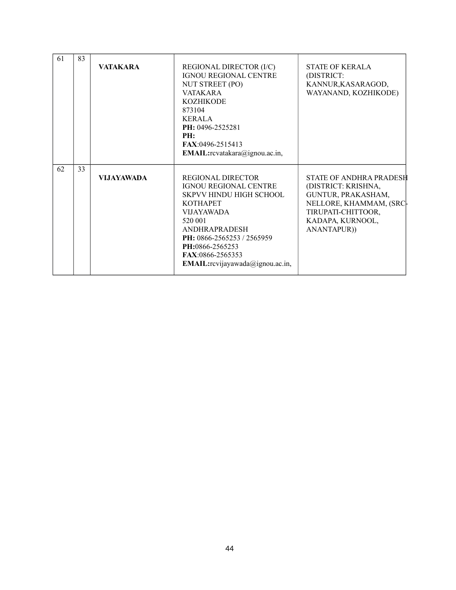| 61 | 83 |                   |                                                                                                                                                                                                                                                                                |                                                                                                                                                                 |
|----|----|-------------------|--------------------------------------------------------------------------------------------------------------------------------------------------------------------------------------------------------------------------------------------------------------------------------|-----------------------------------------------------------------------------------------------------------------------------------------------------------------|
|    |    | <b>VATAKARA</b>   | REGIONAL DIRECTOR (I/C)<br><b>IGNOU REGIONAL CENTRE</b><br>NUT STREET (PO)<br><b>VATAKARA</b><br><b>KOZHIKODE</b><br>873104<br><b>KERALA</b><br>PH: 0496-2525281<br>PH:<br><b>FAX:0496-2515413</b><br>EMAIL:rcvatakara@ignou.ac.in,                                            | <b>STATE OF KERALA</b><br>(DISTRICT:<br>KANNUR, KASARAGOD,<br>WAYANAND, KOZHIKODE)                                                                              |
| 62 | 33 | <b>VIJAYAWADA</b> | REGIONAL DIRECTOR<br><b>IGNOU REGIONAL CENTRE</b><br><b>SKPVV HINDU HIGH SCHOOL</b><br><b>KOTHAPET</b><br><b>VIJAYAWADA</b><br>520 001<br><b>ANDHRAPRADESH</b><br>PH: 0866-2565253 / 2565959<br>PH:0866-2565253<br>FAX:0866-2565353<br><b>EMAIL:</b> rcvijayawada@ignou.ac.in, | <b>STATE OF ANDHRA PRADESH</b><br>(DISTRICT: KRISHNA,<br>GUNTUR, PRAKASHAM,<br>NELLORE, KHAMMAM, (SRC-<br>TIRUPATI-CHITTOOR,<br>KADAPA, KURNOOL,<br>ANANTAPUR)) |